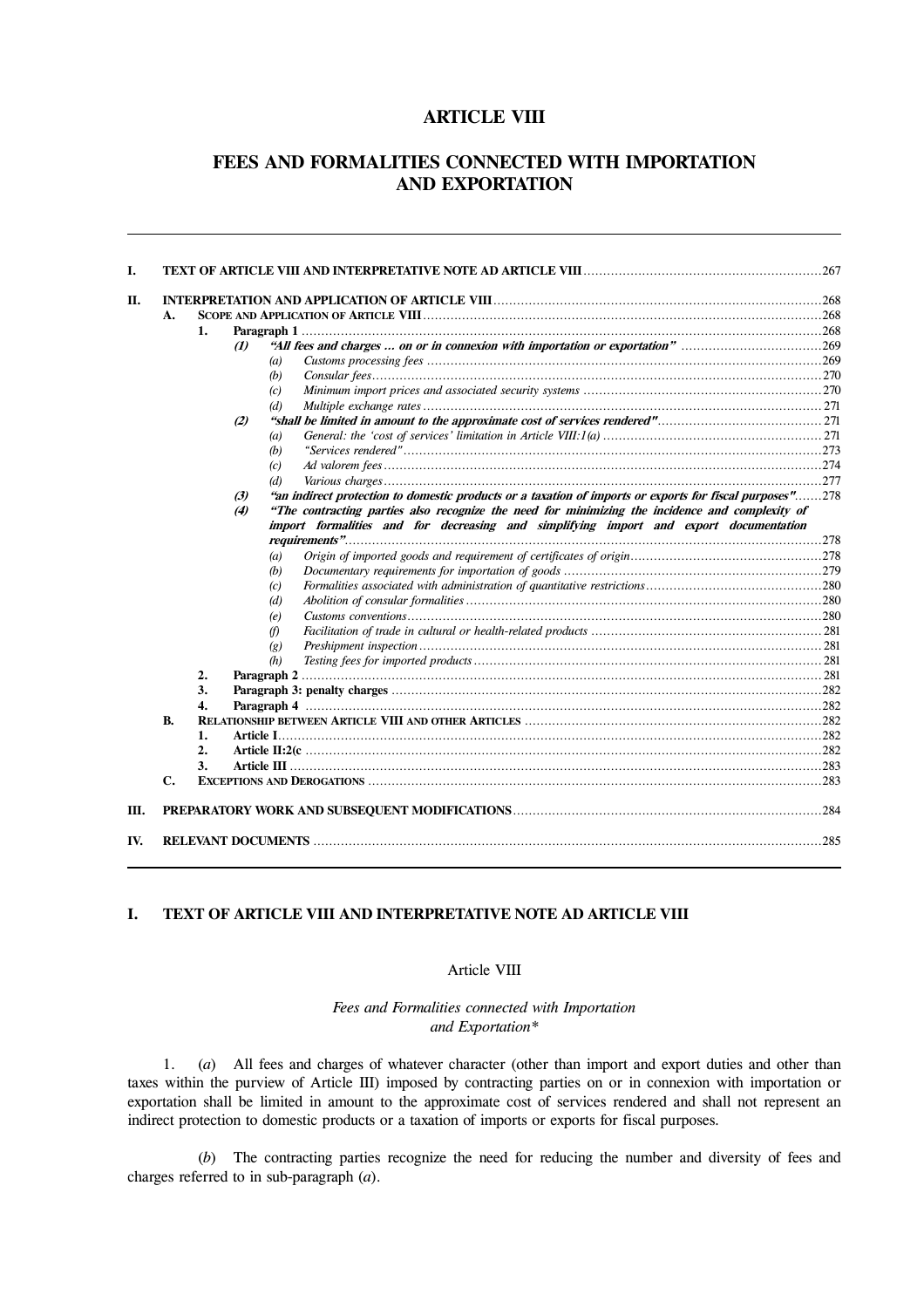# **ARTICLE VIII**

# **FEES AND FORMALITIES CONNECTED WITH IMPORTATION AND EXPORTATION**

| I.  |           |    |                                                                                                                     |  |
|-----|-----------|----|---------------------------------------------------------------------------------------------------------------------|--|
| П.  |           |    |                                                                                                                     |  |
|     | A.        |    |                                                                                                                     |  |
|     |           | 1. |                                                                                                                     |  |
|     |           |    | "All fees and charges  on or in connexion with importation or exportation" 269<br>$\boldsymbol{v}$                  |  |
|     |           |    | (a)                                                                                                                 |  |
|     |           |    | (b)                                                                                                                 |  |
|     |           |    | (c)                                                                                                                 |  |
|     |           |    | (d)                                                                                                                 |  |
|     |           |    | (2)                                                                                                                 |  |
|     |           |    | (a)                                                                                                                 |  |
|     |           |    | (b)                                                                                                                 |  |
|     |           |    | (c)                                                                                                                 |  |
|     |           |    | (d)                                                                                                                 |  |
|     |           |    | "an indirect protection to domestic products or a taxation of imports or exports for fiscal purposes"278<br>(3)     |  |
|     |           |    | "The contracting parties also recognize the need for minimizing the incidence and complexity of<br>$\boldsymbol{r}$ |  |
|     |           |    | import formalities and for decreasing and simplifying import and export documentation                               |  |
|     |           |    |                                                                                                                     |  |
|     |           |    | (a)                                                                                                                 |  |
|     |           |    | (b)                                                                                                                 |  |
|     |           |    | (c)                                                                                                                 |  |
|     |           |    | (d)                                                                                                                 |  |
|     |           |    | (e)                                                                                                                 |  |
|     |           |    | (f)                                                                                                                 |  |
|     |           |    | (g)                                                                                                                 |  |
|     |           |    | (h)                                                                                                                 |  |
|     |           | 2. |                                                                                                                     |  |
|     |           | 3. |                                                                                                                     |  |
|     |           | 4. |                                                                                                                     |  |
|     | <b>B.</b> |    |                                                                                                                     |  |
|     |           | 1. |                                                                                                                     |  |
|     |           | 2. |                                                                                                                     |  |
|     |           | 3. |                                                                                                                     |  |
|     | C.        |    |                                                                                                                     |  |
| Ш.  |           |    |                                                                                                                     |  |
|     |           |    |                                                                                                                     |  |
| IV. |           |    |                                                                                                                     |  |

# **I. TEXT OF ARTICLE VIII AND INTERPRETATIVE NOTE AD ARTICLE VIII**

## Article VIII

## *Fees and Formalities connected with Importation and Exportation\**

 1. (*a*) All fees and charges of whatever character (other than import and export duties and other than taxes within the purview of Article III) imposed by contracting parties on or in connexion with importation or exportation shall be limited in amount to the approximate cost of services rendered and shall not represent an indirect protection to domestic products or a taxation of imports or exports for fiscal purposes.

 (*b*) The contracting parties recognize the need for reducing the number and diversity of fees and charges referred to in sub-paragraph (*a*).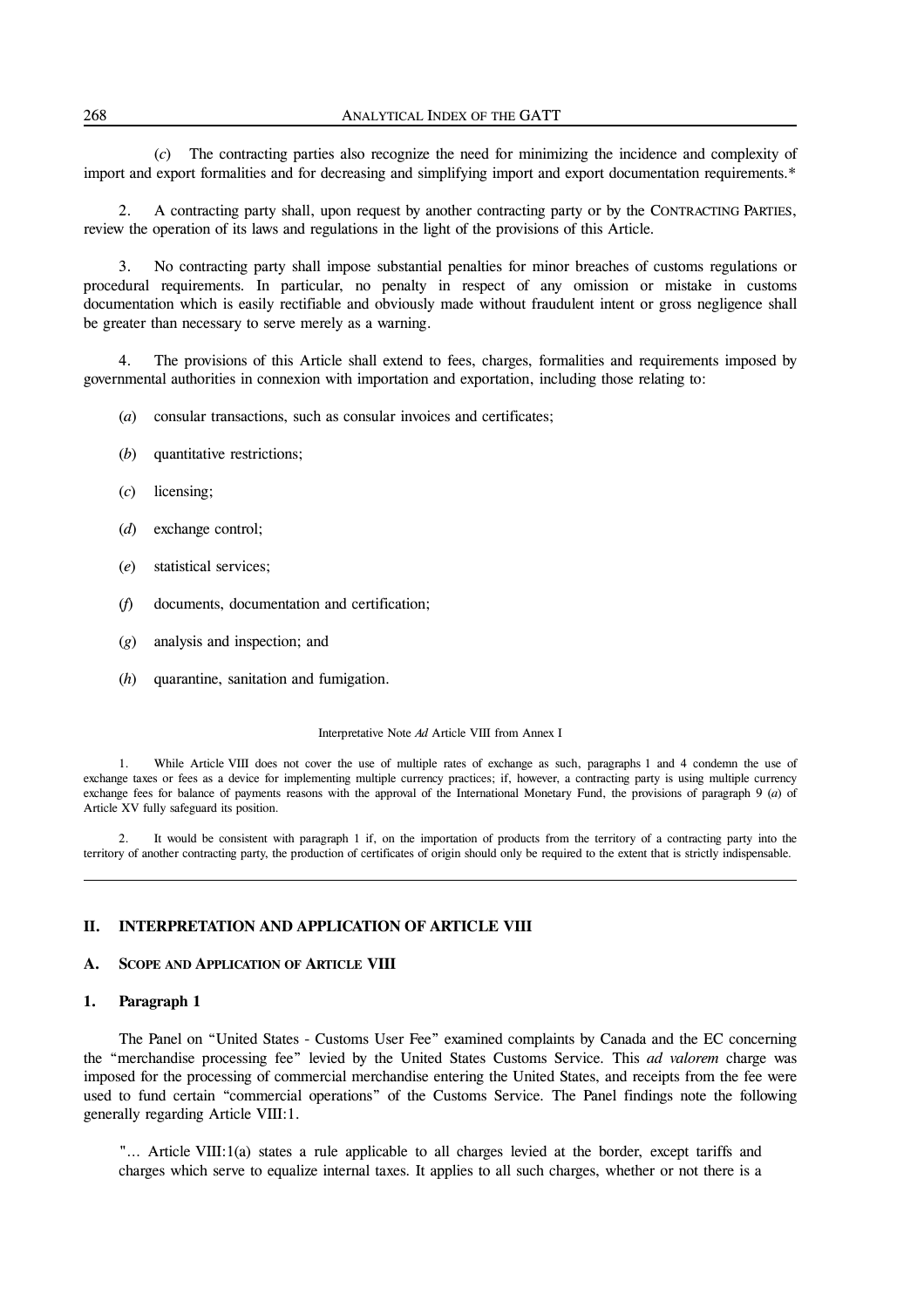(*c*) The contracting parties also recognize the need for minimizing the incidence and complexity of import and export formalities and for decreasing and simplifying import and export documentation requirements.\*

 2. A contracting party shall, upon request by another contracting party or by the CONTRACTING PARTIES, review the operation of its laws and regulations in the light of the provisions of this Article.

 3. No contracting party shall impose substantial penalties for minor breaches of customs regulations or procedural requirements. In particular, no penalty in respect of any omission or mistake in customs documentation which is easily rectifiable and obviously made without fraudulent intent or gross negligence shall be greater than necessary to serve merely as a warning.

 4. The provisions of this Article shall extend to fees, charges, formalities and requirements imposed by governmental authorities in connexion with importation and exportation, including those relating to:

- (*a*) consular transactions, such as consular invoices and certificates;
- (*b*) quantitative restrictions;
- (*c*) licensing;
- (*d*) exchange control;
- (*e*) statistical services;
- (*f*) documents, documentation and certification;
- (*g*) analysis and inspection; and
- (*h*) quarantine, sanitation and fumigation.

#### Interpretative Note *Ad* Article VIII from Annex I

 1. While Article VIII does not cover the use of multiple rates of exchange as such, paragraphs 1 and 4 condemn the use of exchange taxes or fees as a device for implementing multiple currency practices; if, however, a contracting party is using multiple currency exchange fees for balance of payments reasons with the approval of the International Monetary Fund, the provisions of paragraph 9 (*a*) of Article XV fully safeguard its position.

 2. It would be consistent with paragraph 1 if, on the importation of products from the territory of a contracting party into the territory of another contracting party, the production of certificates of origin should only be required to the extent that is strictly indispensable.

## **II. INTERPRETATION AND APPLICATION OF ARTICLE VIII**

## **A. SCOPE AND APPLICATION OF ARTICLE VIII**

## **1. Paragraph 1**

 The Panel on "United States - Customs User Fee" examined complaints by Canada and the EC concerning the "merchandise processing fee" levied by the United States Customs Service. This *ad valorem* charge was imposed for the processing of commercial merchandise entering the United States, and receipts from the fee were used to fund certain "commercial operations" of the Customs Service. The Panel findings note the following generally regarding Article VIII:1.

 "… Article VIII:1(a) states a rule applicable to all charges levied at the border, except tariffs and charges which serve to equalize internal taxes. It applies to all such charges, whether or not there is a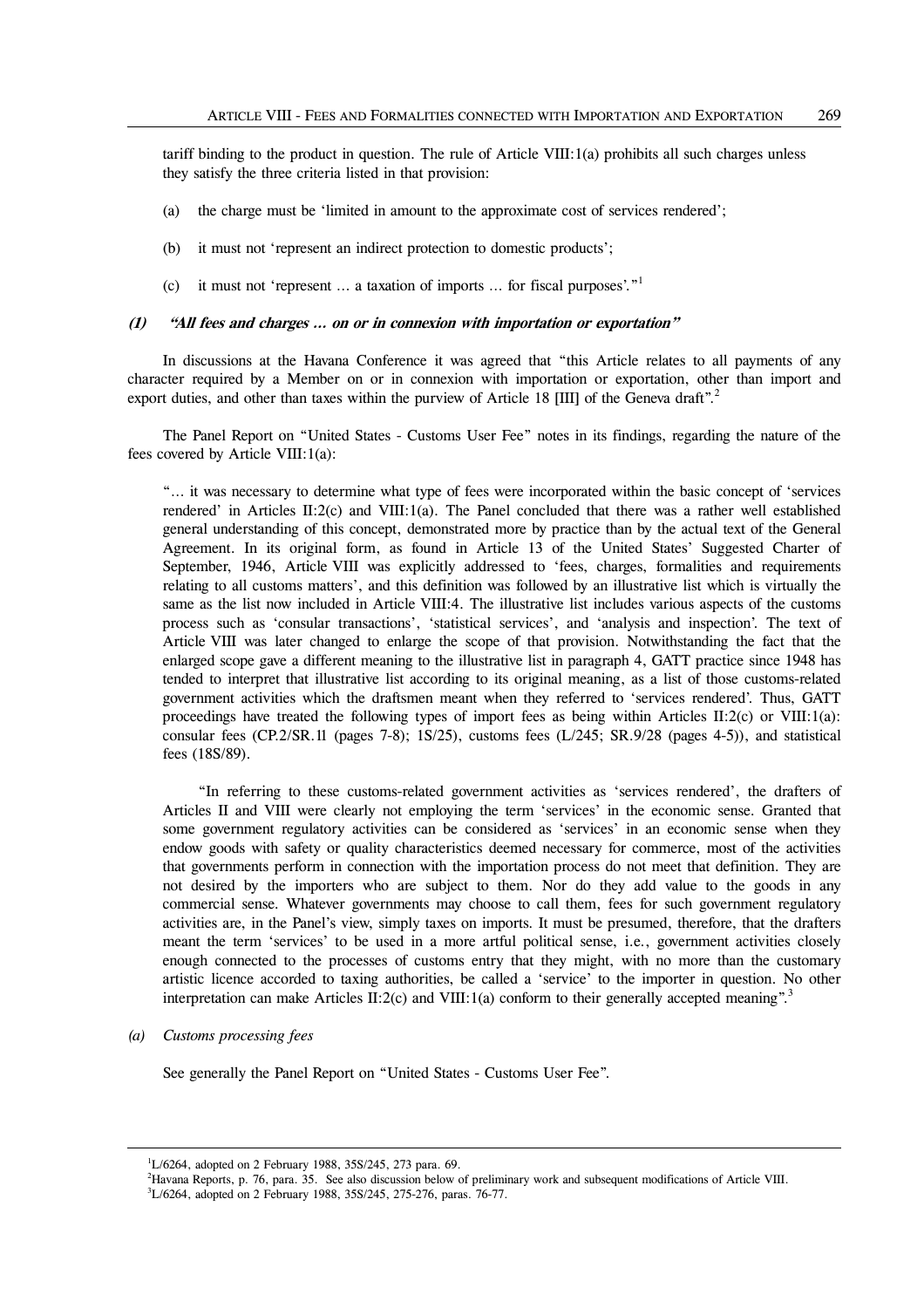tariff binding to the product in question. The rule of Article VIII:1(a) prohibits all such charges unless they satisfy the three criteria listed in that provision:

- (a) the charge must be 'limited in amount to the approximate cost of services rendered';
- (b) it must not 'represent an indirect protection to domestic products';
- (c) it must not 'represent … a taxation of imports … for fiscal purposes'."1

## **(1) "All fees and charges … on or in connexion with importation or exportation"**

 In discussions at the Havana Conference it was agreed that "this Article relates to all payments of any character required by a Member on or in connexion with importation or exportation, other than import and export duties, and other than taxes within the purview of Article 18  $\text{[III]}$  of the Geneva draft".<sup>2</sup>

 The Panel Report on "United States - Customs User Fee" notes in its findings, regarding the nature of the fees covered by Article VIII:1(a):

 "… it was necessary to determine what type of fees were incorporated within the basic concept of 'services rendered' in Articles II:2(c) and VIII:1(a). The Panel concluded that there was a rather well established general understanding of this concept, demonstrated more by practice than by the actual text of the General Agreement. In its original form, as found in Article 13 of the United States' Suggested Charter of September, 1946, Article VIII was explicitly addressed to 'fees, charges, formalities and requirements relating to all customs matters', and this definition was followed by an illustrative list which is virtually the same as the list now included in Article VIII:4. The illustrative list includes various aspects of the customs process such as 'consular transactions', 'statistical services', and 'analysis and inspection'. The text of Article VIII was later changed to enlarge the scope of that provision. Notwithstanding the fact that the enlarged scope gave a different meaning to the illustrative list in paragraph 4, GATT practice since 1948 has tended to interpret that illustrative list according to its original meaning, as a list of those customs-related government activities which the draftsmen meant when they referred to 'services rendered'. Thus, GATT proceedings have treated the following types of import fees as being within Articles II:2(c) or VIII:1(a): consular fees (CP.2/SR.11 (pages 7-8); 1S/25), customs fees (L/245; SR.9/28 (pages 4-5)), and statistical fees (18S/89).

 "In referring to these customs-related government activities as 'services rendered', the drafters of Articles II and VIII were clearly not employing the term 'services' in the economic sense. Granted that some government regulatory activities can be considered as 'services' in an economic sense when they endow goods with safety or quality characteristics deemed necessary for commerce, most of the activities that governments perform in connection with the importation process do not meet that definition. They are not desired by the importers who are subject to them. Nor do they add value to the goods in any commercial sense. Whatever governments may choose to call them, fees for such government regulatory activities are, in the Panel's view, simply taxes on imports. It must be presumed, therefore, that the drafters meant the term 'services' to be used in a more artful political sense, i.e., government activities closely enough connected to the processes of customs entry that they might, with no more than the customary artistic licence accorded to taxing authorities, be called a 'service' to the importer in question. No other interpretation can make Articles II:2(c) and VIII:1(a) conform to their generally accepted meaning".<sup>3</sup>

## *(a) Customs processing fees*

 $\overline{a}$ 

See generally the Panel Report on "United States - Customs User Fee".

<sup>&</sup>lt;sup>1</sup>L/6264, adopted on 2 February 1988, 35S/245, 273 para. 69.

<sup>2</sup> Havana Reports, p. 76, para. 35. See also discussion below of preliminary work and subsequent modifications of Article VIII.

<sup>&</sup>lt;sup>3</sup>L/6264, adopted on 2 February 1988, 35S/245, 275-276, paras. 76-77.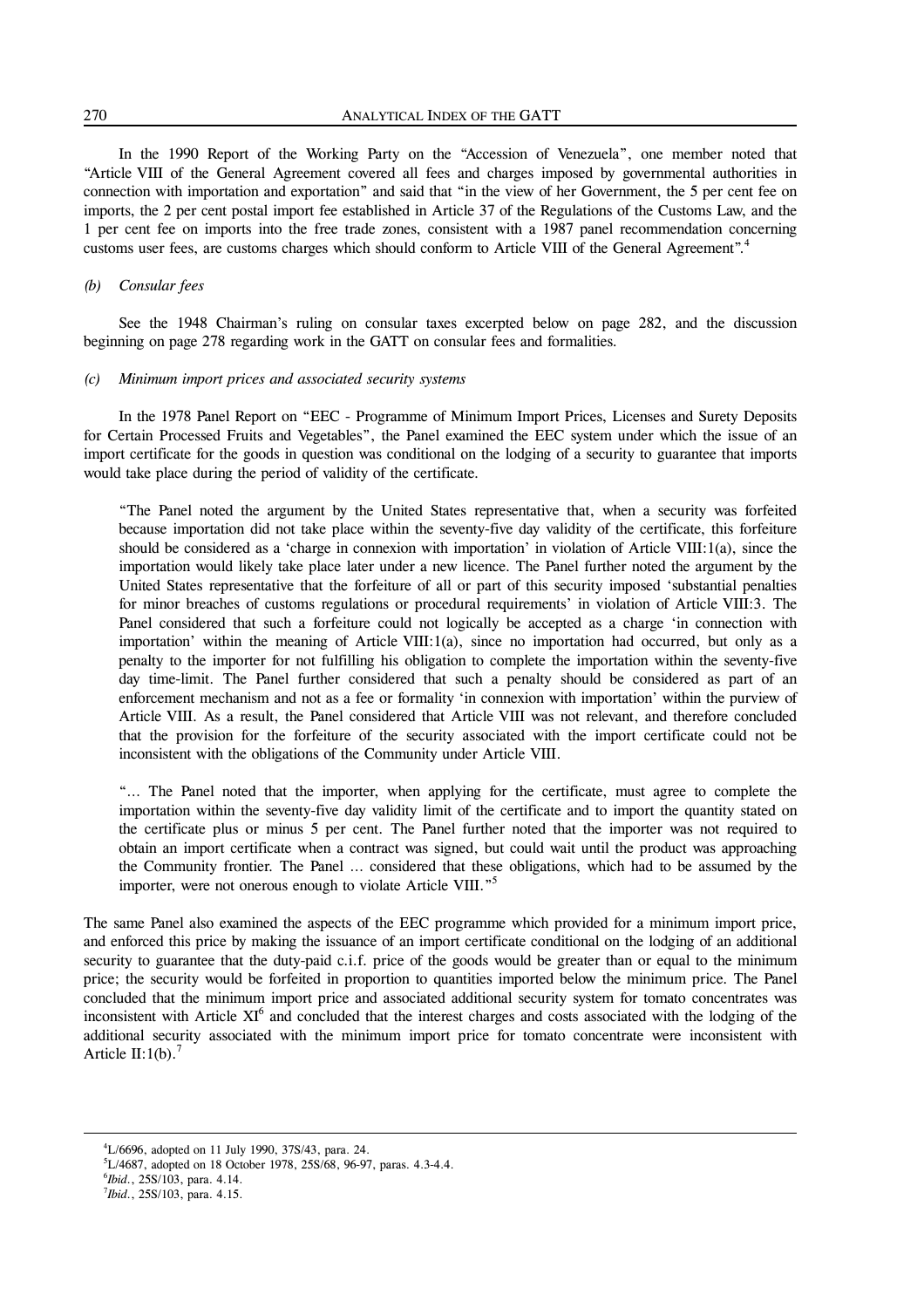In the 1990 Report of the Working Party on the "Accession of Venezuela", one member noted that "Article VIII of the General Agreement covered all fees and charges imposed by governmental authorities in connection with importation and exportation" and said that "in the view of her Government, the 5 per cent fee on imports, the 2 per cent postal import fee established in Article 37 of the Regulations of the Customs Law, and the 1 per cent fee on imports into the free trade zones, consistent with a 1987 panel recommendation concerning customs user fees, are customs charges which should conform to Article VIII of the General Agreement".4

### *(b) Consular fees*

 See the 1948 Chairman's ruling on consular taxes excerpted below on page 282, and the discussion beginning on page 278 regarding work in the GATT on consular fees and formalities.

### *(c) Minimum import prices and associated security systems*

 In the 1978 Panel Report on "EEC - Programme of Minimum Import Prices, Licenses and Surety Deposits for Certain Processed Fruits and Vegetables", the Panel examined the EEC system under which the issue of an import certificate for the goods in question was conditional on the lodging of a security to guarantee that imports would take place during the period of validity of the certificate.

 "The Panel noted the argument by the United States representative that, when a security was forfeited because importation did not take place within the seventy-five day validity of the certificate, this forfeiture should be considered as a 'charge in connexion with importation' in violation of Article VIII:1(a), since the importation would likely take place later under a new licence. The Panel further noted the argument by the United States representative that the forfeiture of all or part of this security imposed 'substantial penalties for minor breaches of customs regulations or procedural requirements' in violation of Article VIII:3. The Panel considered that such a forfeiture could not logically be accepted as a charge 'in connection with importation' within the meaning of Article VIII:1(a), since no importation had occurred, but only as a penalty to the importer for not fulfilling his obligation to complete the importation within the seventy-five day time-limit. The Panel further considered that such a penalty should be considered as part of an enforcement mechanism and not as a fee or formality 'in connexion with importation' within the purview of Article VIII. As a result, the Panel considered that Article VIII was not relevant, and therefore concluded that the provision for the forfeiture of the security associated with the import certificate could not be inconsistent with the obligations of the Community under Article VIII.

 "… The Panel noted that the importer, when applying for the certificate, must agree to complete the importation within the seventy-five day validity limit of the certificate and to import the quantity stated on the certificate plus or minus 5 per cent. The Panel further noted that the importer was not required to obtain an import certificate when a contract was signed, but could wait until the product was approaching the Community frontier. The Panel … considered that these obligations, which had to be assumed by the importer, were not onerous enough to violate Article VIII."<sup>5</sup>

The same Panel also examined the aspects of the EEC programme which provided for a minimum import price, and enforced this price by making the issuance of an import certificate conditional on the lodging of an additional security to guarantee that the duty-paid c.i.f. price of the goods would be greater than or equal to the minimum price; the security would be forfeited in proportion to quantities imported below the minimum price. The Panel concluded that the minimum import price and associated additional security system for tomato concentrates was inconsistent with Article XI<sup>6</sup> and concluded that the interest charges and costs associated with the lodging of the additional security associated with the minimum import price for tomato concentrate were inconsistent with Article II:1(b).<sup>7</sup>

<sup>4</sup> L/6696, adopted on 11 July 1990, 37S/43, para. 24.

<sup>5</sup> L/4687, adopted on 18 October 1978, 25S/68, 96-97, paras. 4.3-4.4.

<sup>6</sup> *Ibid*., 25S/103, para. 4.14.

<sup>7</sup> *Ibid*., 25S/103, para. 4.15.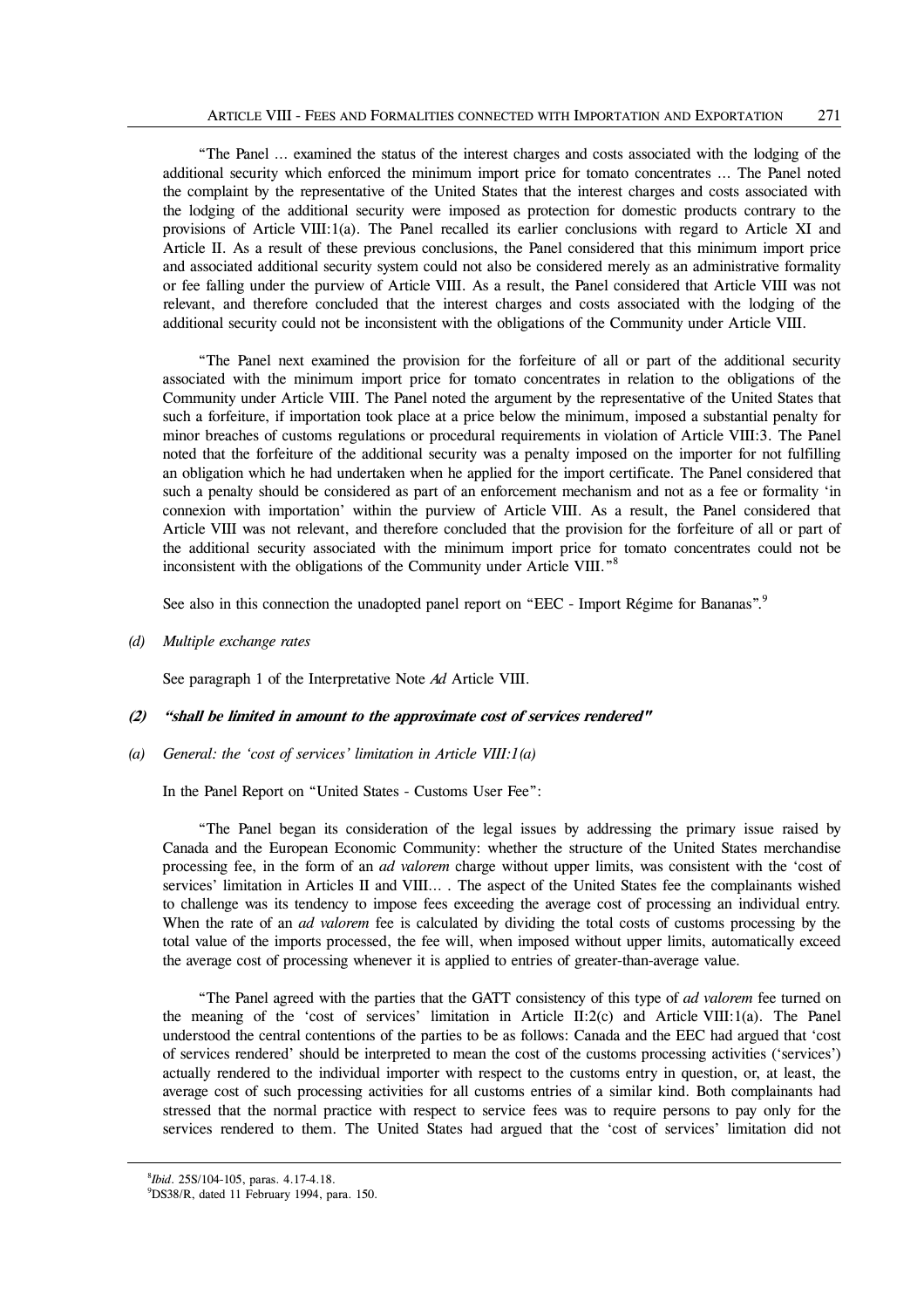"The Panel … examined the status of the interest charges and costs associated with the lodging of the additional security which enforced the minimum import price for tomato concentrates … The Panel noted the complaint by the representative of the United States that the interest charges and costs associated with the lodging of the additional security were imposed as protection for domestic products contrary to the provisions of Article VIII:1(a). The Panel recalled its earlier conclusions with regard to Article XI and Article II. As a result of these previous conclusions, the Panel considered that this minimum import price and associated additional security system could not also be considered merely as an administrative formality or fee falling under the purview of Article VIII. As a result, the Panel considered that Article VIII was not relevant, and therefore concluded that the interest charges and costs associated with the lodging of the additional security could not be inconsistent with the obligations of the Community under Article VIII.

 "The Panel next examined the provision for the forfeiture of all or part of the additional security associated with the minimum import price for tomato concentrates in relation to the obligations of the Community under Article VIII. The Panel noted the argument by the representative of the United States that such a forfeiture, if importation took place at a price below the minimum, imposed a substantial penalty for minor breaches of customs regulations or procedural requirements in violation of Article VIII:3. The Panel noted that the forfeiture of the additional security was a penalty imposed on the importer for not fulfilling an obligation which he had undertaken when he applied for the import certificate. The Panel considered that such a penalty should be considered as part of an enforcement mechanism and not as a fee or formality 'in connexion with importation' within the purview of Article VIII. As a result, the Panel considered that Article VIII was not relevant, and therefore concluded that the provision for the forfeiture of all or part of the additional security associated with the minimum import price for tomato concentrates could not be inconsistent with the obligations of the Community under Article VIII."<sup>8</sup>

See also in this connection the unadopted panel report on "EEC - Import Régime for Bananas".<sup>9</sup>

*(d) Multiple exchange rates*

See paragraph 1 of the Interpretative Note *Ad* Article VIII.

#### **(2) "shall be limited in amount to the approximate cost of services rendered"**

*(a) General: the 'cost of services' limitation in Article VIII:1(a)*

In the Panel Report on "United States - Customs User Fee":

 "The Panel began its consideration of the legal issues by addressing the primary issue raised by Canada and the European Economic Community: whether the structure of the United States merchandise processing fee, in the form of an *ad valorem* charge without upper limits, was consistent with the 'cost of services' limitation in Articles II and VIII… . The aspect of the United States fee the complainants wished to challenge was its tendency to impose fees exceeding the average cost of processing an individual entry. When the rate of an *ad valorem* fee is calculated by dividing the total costs of customs processing by the total value of the imports processed, the fee will, when imposed without upper limits, automatically exceed the average cost of processing whenever it is applied to entries of greater-than-average value.

 "The Panel agreed with the parties that the GATT consistency of this type of *ad valorem* fee turned on the meaning of the 'cost of services' limitation in Article II:2(c) and Article VIII:1(a). The Panel understood the central contentions of the parties to be as follows: Canada and the EEC had argued that 'cost of services rendered' should be interpreted to mean the cost of the customs processing activities ('services') actually rendered to the individual importer with respect to the customs entry in question, or, at least, the average cost of such processing activities for all customs entries of a similar kind. Both complainants had stressed that the normal practice with respect to service fees was to require persons to pay only for the services rendered to them. The United States had argued that the 'cost of services' limitation did not

<sup>8</sup> *Ibid*. 25S/104-105, paras. 4.17-4.18.

<sup>9</sup> DS38/R, dated 11 February 1994, para. 150.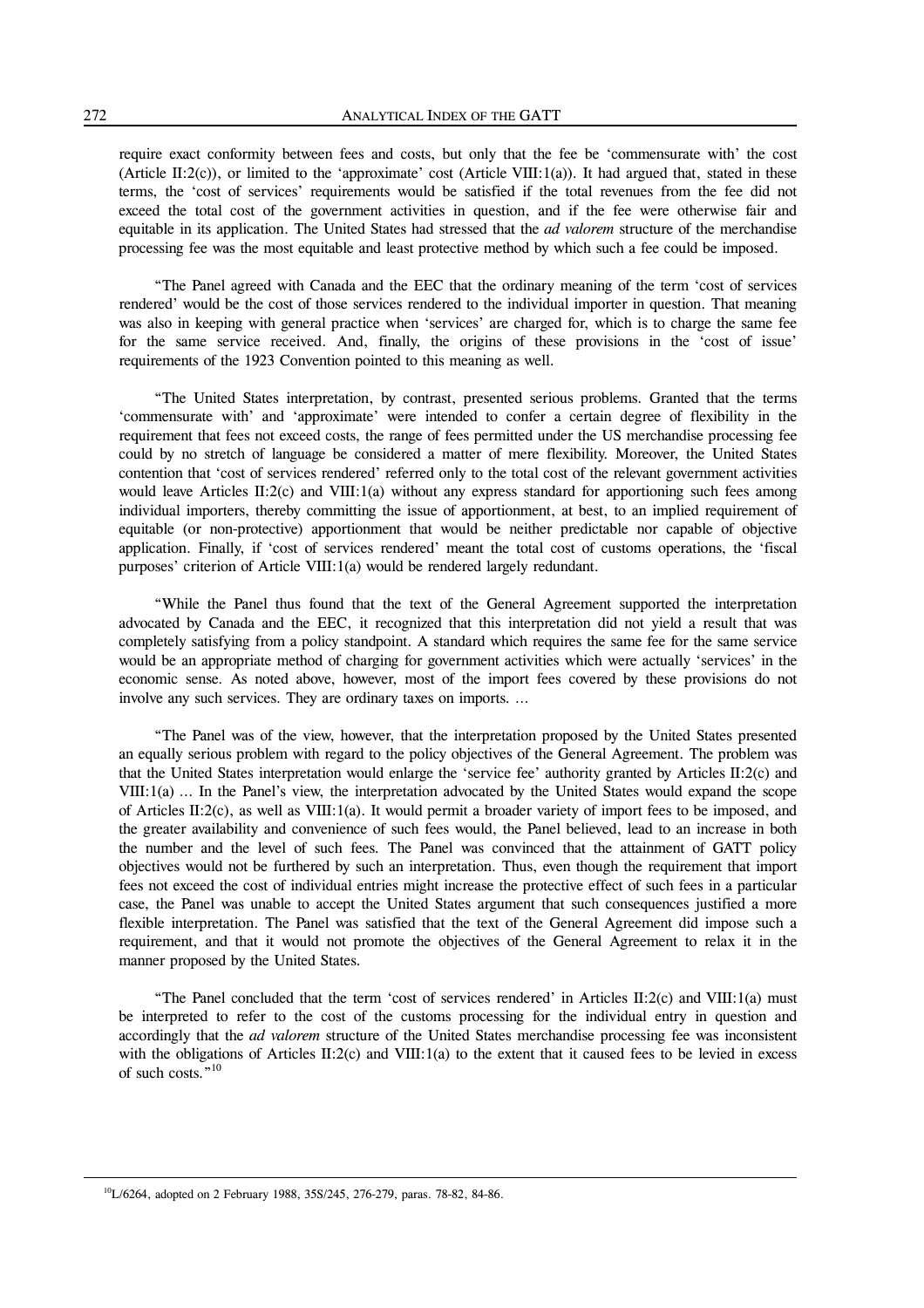require exact conformity between fees and costs, but only that the fee be 'commensurate with' the cost (Article II:2(c)), or limited to the 'approximate' cost (Article VIII:1(a)). It had argued that, stated in these terms, the 'cost of services' requirements would be satisfied if the total revenues from the fee did not exceed the total cost of the government activities in question, and if the fee were otherwise fair and equitable in its application. The United States had stressed that the *ad valorem* structure of the merchandise processing fee was the most equitable and least protective method by which such a fee could be imposed.

 "The Panel agreed with Canada and the EEC that the ordinary meaning of the term 'cost of services rendered' would be the cost of those services rendered to the individual importer in question. That meaning was also in keeping with general practice when 'services' are charged for, which is to charge the same fee for the same service received. And, finally, the origins of these provisions in the 'cost of issue' requirements of the 1923 Convention pointed to this meaning as well.

 "The United States interpretation, by contrast, presented serious problems. Granted that the terms 'commensurate with' and 'approximate' were intended to confer a certain degree of flexibility in the requirement that fees not exceed costs, the range of fees permitted under the US merchandise processing fee could by no stretch of language be considered a matter of mere flexibility. Moreover, the United States contention that 'cost of services rendered' referred only to the total cost of the relevant government activities would leave Articles II:2(c) and VIII:1(a) without any express standard for apportioning such fees among individual importers, thereby committing the issue of apportionment, at best, to an implied requirement of equitable (or non-protective) apportionment that would be neither predictable nor capable of objective application. Finally, if 'cost of services rendered' meant the total cost of customs operations, the 'fiscal purposes' criterion of Article VIII:1(a) would be rendered largely redundant.

 "While the Panel thus found that the text of the General Agreement supported the interpretation advocated by Canada and the EEC, it recognized that this interpretation did not yield a result that was completely satisfying from a policy standpoint. A standard which requires the same fee for the same service would be an appropriate method of charging for government activities which were actually 'services' in the economic sense. As noted above, however, most of the import fees covered by these provisions do not involve any such services. They are ordinary taxes on imports. …

 "The Panel was of the view, however, that the interpretation proposed by the United States presented an equally serious problem with regard to the policy objectives of the General Agreement. The problem was that the United States interpretation would enlarge the 'service fee' authority granted by Articles II:2(c) and VIII:1(a) … In the Panel's view, the interpretation advocated by the United States would expand the scope of Articles II:2(c), as well as VIII:1(a). It would permit a broader variety of import fees to be imposed, and the greater availability and convenience of such fees would, the Panel believed, lead to an increase in both the number and the level of such fees. The Panel was convinced that the attainment of GATT policy objectives would not be furthered by such an interpretation. Thus, even though the requirement that import fees not exceed the cost of individual entries might increase the protective effect of such fees in a particular case, the Panel was unable to accept the United States argument that such consequences justified a more flexible interpretation. The Panel was satisfied that the text of the General Agreement did impose such a requirement, and that it would not promote the objectives of the General Agreement to relax it in the manner proposed by the United States.

 "The Panel concluded that the term 'cost of services rendered' in Articles II:2(c) and VIII:1(a) must be interpreted to refer to the cost of the customs processing for the individual entry in question and accordingly that the *ad valorem* structure of the United States merchandise processing fee was inconsistent with the obligations of Articles II:2(c) and VIII:1(a) to the extent that it caused fees to be levied in excess of such costs."<sup>10</sup>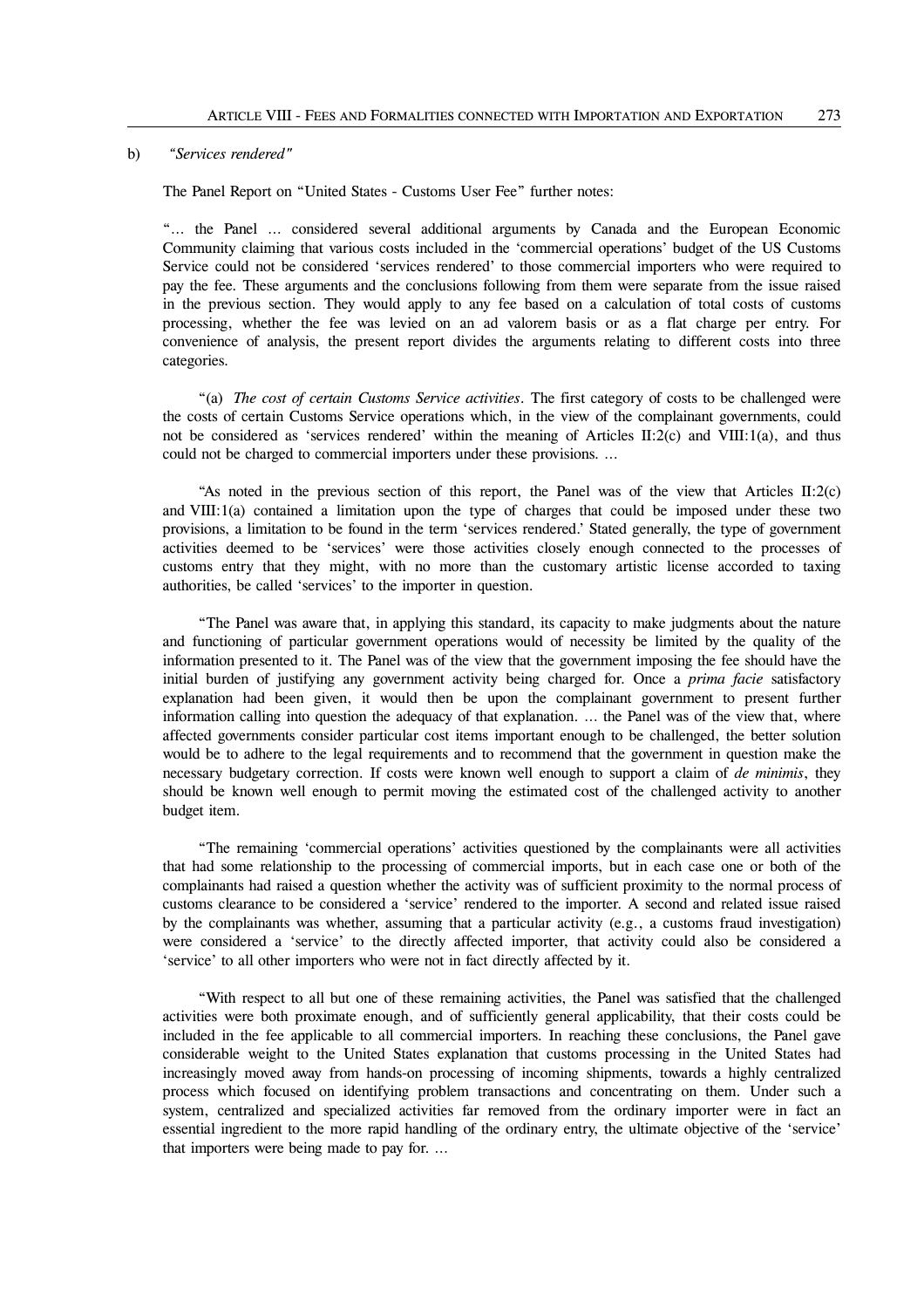b) *"Services rendered"*

The Panel Report on "United States - Customs User Fee" further notes:

 "… the Panel … considered several additional arguments by Canada and the European Economic Community claiming that various costs included in the 'commercial operations' budget of the US Customs Service could not be considered 'services rendered' to those commercial importers who were required to pay the fee. These arguments and the conclusions following from them were separate from the issue raised in the previous section. They would apply to any fee based on a calculation of total costs of customs processing, whether the fee was levied on an ad valorem basis or as a flat charge per entry. For convenience of analysis, the present report divides the arguments relating to different costs into three categories.

 "(a) *The cost of certain Customs Service activities*. The first category of costs to be challenged were the costs of certain Customs Service operations which, in the view of the complainant governments, could not be considered as 'services rendered' within the meaning of Articles II:2(c) and VIII:1(a), and thus could not be charged to commercial importers under these provisions. …

 "As noted in the previous section of this report, the Panel was of the view that Articles II:2(c) and  $VIII:1(a)$  contained a limitation upon the type of charges that could be imposed under these two provisions, a limitation to be found in the term 'services rendered.' Stated generally, the type of government activities deemed to be 'services' were those activities closely enough connected to the processes of customs entry that they might, with no more than the customary artistic license accorded to taxing authorities, be called 'services' to the importer in question.

 "The Panel was aware that, in applying this standard, its capacity to make judgments about the nature and functioning of particular government operations would of necessity be limited by the quality of the information presented to it. The Panel was of the view that the government imposing the fee should have the initial burden of justifying any government activity being charged for. Once a *prima facie* satisfactory explanation had been given, it would then be upon the complainant government to present further information calling into question the adequacy of that explanation. … the Panel was of the view that, where affected governments consider particular cost items important enough to be challenged, the better solution would be to adhere to the legal requirements and to recommend that the government in question make the necessary budgetary correction. If costs were known well enough to support a claim of *de minimis*, they should be known well enough to permit moving the estimated cost of the challenged activity to another budget item.

 "The remaining 'commercial operations' activities questioned by the complainants were all activities that had some relationship to the processing of commercial imports, but in each case one or both of the complainants had raised a question whether the activity was of sufficient proximity to the normal process of customs clearance to be considered a 'service' rendered to the importer. A second and related issue raised by the complainants was whether, assuming that a particular activity (e.g., a customs fraud investigation) were considered a 'service' to the directly affected importer, that activity could also be considered a 'service' to all other importers who were not in fact directly affected by it.

 "With respect to all but one of these remaining activities, the Panel was satisfied that the challenged activities were both proximate enough, and of sufficiently general applicability, that their costs could be included in the fee applicable to all commercial importers. In reaching these conclusions, the Panel gave considerable weight to the United States explanation that customs processing in the United States had increasingly moved away from hands-on processing of incoming shipments, towards a highly centralized process which focused on identifying problem transactions and concentrating on them. Under such a system, centralized and specialized activities far removed from the ordinary importer were in fact an essential ingredient to the more rapid handling of the ordinary entry, the ultimate objective of the 'service' that importers were being made to pay for. …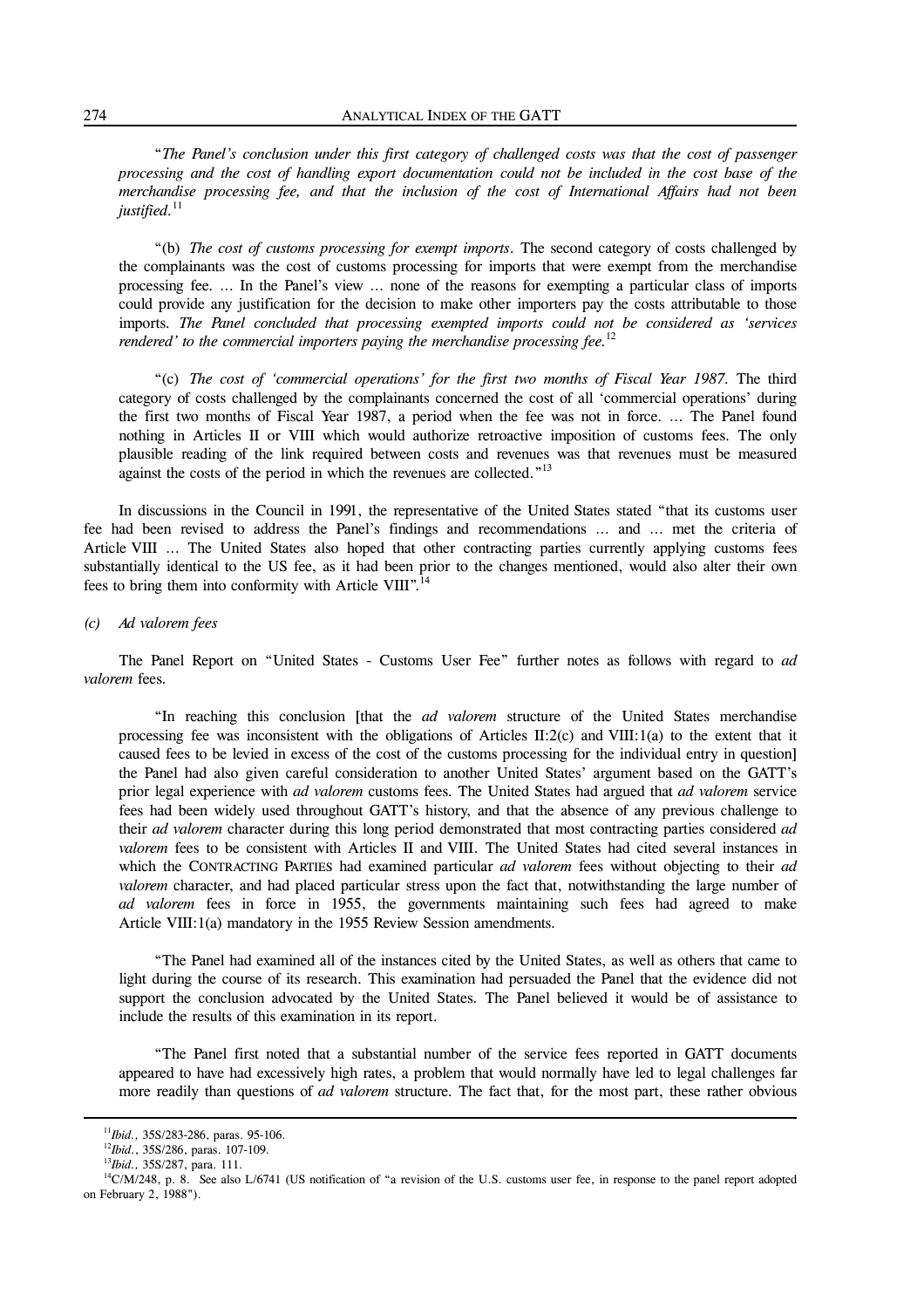"*The Panel's conclusion under this first category of challenged costs was that the cost of passenger processing and the cost of handling export documentation could not be included in the cost base of the merchandise processing fee, and that the inclusion of the cost of International Affairs had not been justified.*<sup>11</sup>

 "(b) *The cost of customs processing for exempt imports*. The second category of costs challenged by the complainants was the cost of customs processing for imports that were exempt from the merchandise processing fee. … In the Panel's view … none of the reasons for exempting a particular class of imports could provide any justification for the decision to make other importers pay the costs attributable to those imports. *The Panel concluded that processing exempted imports could not be considered as 'services rendered' to the commercial importers paying the merchandise processing fee.*<sup>12</sup>

 "(c) *The cost of 'commercial operations' for the first two months of Fiscal Year 1987*. The third category of costs challenged by the complainants concerned the cost of all 'commercial operations' during the first two months of Fiscal Year 1987, a period when the fee was not in force. … The Panel found nothing in Articles II or VIII which would authorize retroactive imposition of customs fees. The only plausible reading of the link required between costs and revenues was that revenues must be measured against the costs of the period in which the revenues are collected."<sup>13</sup>

 In discussions in the Council in 1991, the representative of the United States stated "that its customs user fee had been revised to address the Panel's findings and recommendations … and … met the criteria of Article VIII ... The United States also hoped that other contracting parties currently applying customs fees substantially identical to the US fee, as it had been prior to the changes mentioned, would also alter their own fees to bring them into conformity with Article VIII".<sup>14</sup>

## *(c) Ad valorem fees*

 The Panel Report on "United States - Customs User Fee" further notes as follows with regard to *ad valorem* fees.

 "In reaching this conclusion [that the *ad valorem* structure of the United States merchandise processing fee was inconsistent with the obligations of Articles II:2(c) and VIII:1(a) to the extent that it caused fees to be levied in excess of the cost of the customs processing for the individual entry in question] the Panel had also given careful consideration to another United States' argument based on the GATT's prior legal experience with *ad valorem* customs fees. The United States had argued that *ad valorem* service fees had been widely used throughout GATT's history, and that the absence of any previous challenge to their *ad valorem* character during this long period demonstrated that most contracting parties considered *ad valorem* fees to be consistent with Articles II and VIII. The United States had cited several instances in which the CONTRACTING PARTIES had examined particular *ad valorem* fees without objecting to their *ad valorem* character, and had placed particular stress upon the fact that, notwithstanding the large number of *ad valorem* fees in force in 1955, the governments maintaining such fees had agreed to make Article VIII:1(a) mandatory in the 1955 Review Session amendments.

 "The Panel had examined all of the instances cited by the United States, as well as others that came to light during the course of its research. This examination had persuaded the Panel that the evidence did not support the conclusion advocated by the United States. The Panel believed it would be of assistance to include the results of this examination in its report.

 "The Panel first noted that a substantial number of the service fees reported in GATT documents appeared to have had excessively high rates, a problem that would normally have led to legal challenges far more readily than questions of *ad valorem* structure. The fact that, for the most part, these rather obvious

<sup>11</sup>*Ibid.,* 35S/283-286, paras. 95-106.

<sup>12</sup>*Ibid*., 35S/286, paras. 107-109.

<sup>13</sup>*Ibid.,* 35S/287, para. 111.

 $14$ C/M/248, p. 8. See also L/6741 (US notification of "a revision of the U.S. customs user fee, in response to the panel report adopted on February 2, 1988").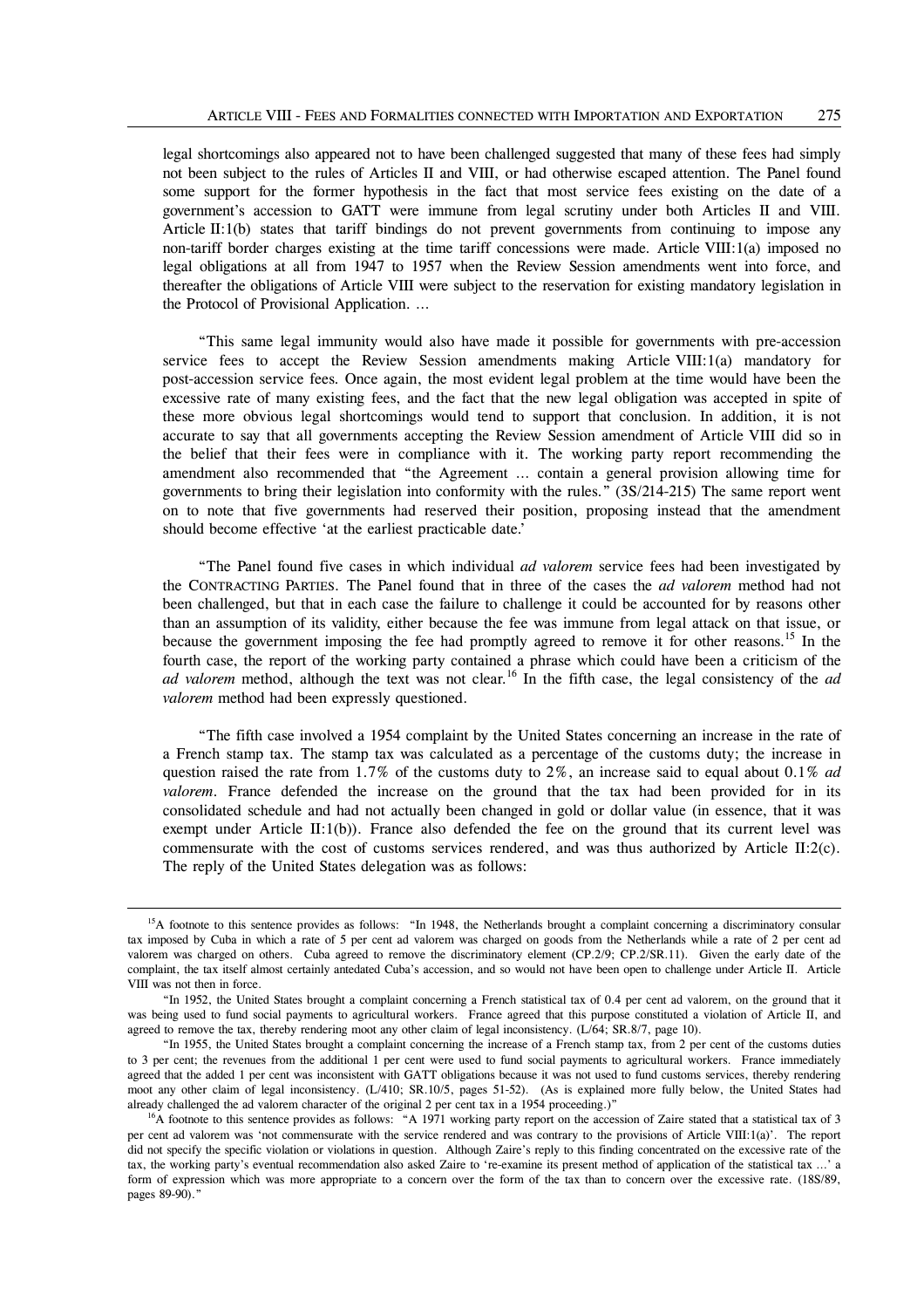legal shortcomings also appeared not to have been challenged suggested that many of these fees had simply not been subject to the rules of Articles II and VIII, or had otherwise escaped attention. The Panel found some support for the former hypothesis in the fact that most service fees existing on the date of a government's accession to GATT were immune from legal scrutiny under both Articles II and VIII. Article II:1(b) states that tariff bindings do not prevent governments from continuing to impose any non-tariff border charges existing at the time tariff concessions were made. Article VIII:1(a) imposed no legal obligations at all from 1947 to 1957 when the Review Session amendments went into force, and thereafter the obligations of Article VIII were subject to the reservation for existing mandatory legislation in the Protocol of Provisional Application. …

 "This same legal immunity would also have made it possible for governments with pre-accession service fees to accept the Review Session amendments making Article VIII:1(a) mandatory for post-accession service fees. Once again, the most evident legal problem at the time would have been the excessive rate of many existing fees, and the fact that the new legal obligation was accepted in spite of these more obvious legal shortcomings would tend to support that conclusion. In addition, it is not accurate to say that all governments accepting the Review Session amendment of Article VIII did so in the belief that their fees were in compliance with it. The working party report recommending the amendment also recommended that "the Agreement … contain a general provision allowing time for governments to bring their legislation into conformity with the rules." (3S/214-215) The same report went on to note that five governments had reserved their position, proposing instead that the amendment should become effective 'at the earliest practicable date.'

 "The Panel found five cases in which individual *ad valorem* service fees had been investigated by the CONTRACTING PARTIES. The Panel found that in three of the cases the *ad valorem* method had not been challenged, but that in each case the failure to challenge it could be accounted for by reasons other than an assumption of its validity, either because the fee was immune from legal attack on that issue, or because the government imposing the fee had promptly agreed to remove it for other reasons.<sup>15</sup> In the fourth case, the report of the working party contained a phrase which could have been a criticism of the *ad valorem* method, although the text was not clear.<sup>16</sup> In the fifth case, the legal consistency of the *ad valorem* method had been expressly questioned.

 "The fifth case involved a 1954 complaint by the United States concerning an increase in the rate of a French stamp tax. The stamp tax was calculated as a percentage of the customs duty; the increase in question raised the rate from 1.7% of the customs duty to 2%, an increase said to equal about 0.1% *ad valorem*. France defended the increase on the ground that the tax had been provided for in its consolidated schedule and had not actually been changed in gold or dollar value (in essence, that it was exempt under Article II:1(b)). France also defended the fee on the ground that its current level was commensurate with the cost of customs services rendered, and was thus authorized by Article II:2(c). The reply of the United States delegation was as follows:

<sup>&</sup>lt;sup>15</sup>A footnote to this sentence provides as follows: "In 1948, the Netherlands brought a complaint concerning a discriminatory consular tax imposed by Cuba in which a rate of 5 per cent ad valorem was charged on goods from the Netherlands while a rate of 2 per cent ad valorem was charged on others. Cuba agreed to remove the discriminatory element (CP.2/9; CP.2/SR.11). Given the early date of the complaint, the tax itself almost certainly antedated Cuba's accession, and so would not have been open to challenge under Article II. Article VIII was not then in force.

 <sup>&</sup>quot;In 1952, the United States brought a complaint concerning a French statistical tax of 0.4 per cent ad valorem, on the ground that it was being used to fund social payments to agricultural workers. France agreed that this purpose constituted a violation of Article II, and agreed to remove the tax, thereby rendering moot any other claim of legal inconsistency. (L/64; SR.8/7, page 10).

 <sup>&</sup>quot;In 1955, the United States brought a complaint concerning the increase of a French stamp tax, from 2 per cent of the customs duties to 3 per cent; the revenues from the additional 1 per cent were used to fund social payments to agricultural workers. France immediately agreed that the added 1 per cent was inconsistent with GATT obligations because it was not used to fund customs services, thereby rendering moot any other claim of legal inconsistency. (L/410; SR.10/5, pages 51-52). (As is explained more fully below, the United States had already challenged the ad valorem character of the original 2 per cent tax in a 1954 proceeding.)"

 $^{16}$ A footnote to this sentence provides as follows: "A 1971 working party report on the accession of Zaire stated that a statistical tax of 3 per cent ad valorem was 'not commensurate with the service rendered and was contrary to the provisions of Article VIII:1(a)'. The report did not specify the specific violation or violations in question. Although Zaire's reply to this finding concentrated on the excessive rate of the tax, the working party's eventual recommendation also asked Zaire to 're-examine its present method of application of the statistical tax …' a form of expression which was more appropriate to a concern over the form of the tax than to concern over the excessive rate. (18S/89, pages 89-90)."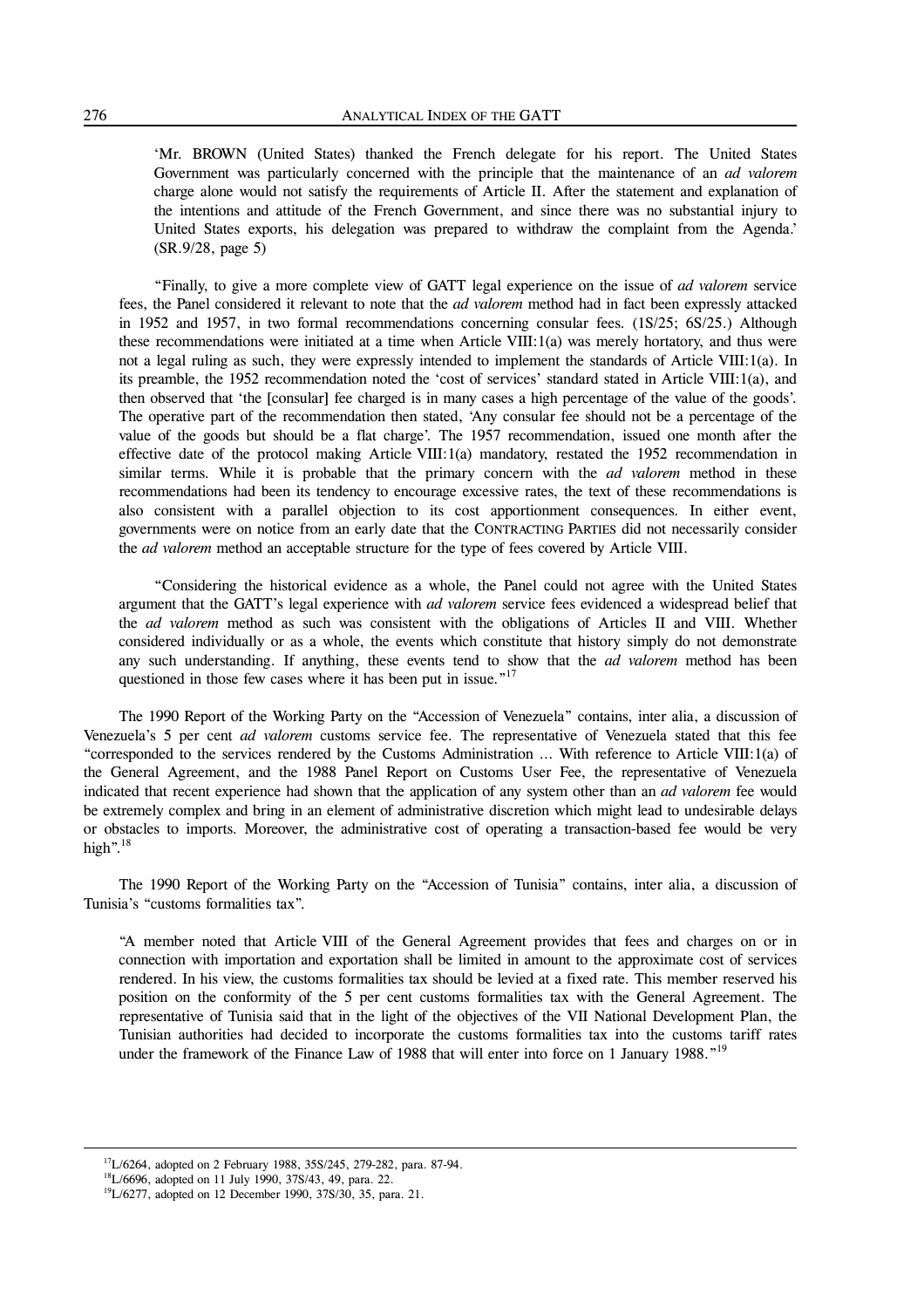'Mr. BROWN (United States) thanked the French delegate for his report. The United States Government was particularly concerned with the principle that the maintenance of an *ad valorem* charge alone would not satisfy the requirements of Article II. After the statement and explanation of the intentions and attitude of the French Government, and since there was no substantial injury to United States exports, his delegation was prepared to withdraw the complaint from the Agenda.' (SR.9/28, page 5)

 "Finally, to give a more complete view of GATT legal experience on the issue of *ad valorem* service fees, the Panel considered it relevant to note that the *ad valorem* method had in fact been expressly attacked in 1952 and 1957, in two formal recommendations concerning consular fees. (1S/25; 6S/25.) Although these recommendations were initiated at a time when Article VIII:1(a) was merely hortatory, and thus were not a legal ruling as such, they were expressly intended to implement the standards of Article VIII:1(a). In its preamble, the 1952 recommendation noted the 'cost of services' standard stated in Article VIII:1(a), and then observed that 'the [consular] fee charged is in many cases a high percentage of the value of the goods'. The operative part of the recommendation then stated, 'Any consular fee should not be a percentage of the value of the goods but should be a flat charge'. The 1957 recommendation, issued one month after the effective date of the protocol making Article VIII:1(a) mandatory, restated the 1952 recommendation in similar terms. While it is probable that the primary concern with the *ad valorem* method in these recommendations had been its tendency to encourage excessive rates, the text of these recommendations is also consistent with a parallel objection to its cost apportionment consequences. In either event, governments were on notice from an early date that the CONTRACTING PARTIES did not necessarily consider the *ad valorem* method an acceptable structure for the type of fees covered by Article VIII.

 "Considering the historical evidence as a whole, the Panel could not agree with the United States argument that the GATT's legal experience with *ad valorem* service fees evidenced a widespread belief that the *ad valorem* method as such was consistent with the obligations of Articles II and VIII. Whether considered individually or as a whole, the events which constitute that history simply do not demonstrate any such understanding. If anything, these events tend to show that the *ad valorem* method has been questioned in those few cases where it has been put in issue."<sup>17</sup>

 The 1990 Report of the Working Party on the "Accession of Venezuela" contains, inter alia, a discussion of Venezuela's 5 per cent *ad valorem* customs service fee. The representative of Venezuela stated that this fee "corresponded to the services rendered by the Customs Administration … With reference to Article VIII:1(a) of the General Agreement, and the 1988 Panel Report on Customs User Fee, the representative of Venezuela indicated that recent experience had shown that the application of any system other than an *ad valorem* fee would be extremely complex and bring in an element of administrative discretion which might lead to undesirable delays or obstacles to imports. Moreover, the administrative cost of operating a transaction-based fee would be very high".<sup>18</sup>

 The 1990 Report of the Working Party on the "Accession of Tunisia" contains, inter alia, a discussion of Tunisia's "customs formalities tax".

 "A member noted that Article VIII of the General Agreement provides that fees and charges on or in connection with importation and exportation shall be limited in amount to the approximate cost of services rendered. In his view, the customs formalities tax should be levied at a fixed rate. This member reserved his position on the conformity of the 5 per cent customs formalities tax with the General Agreement. The representative of Tunisia said that in the light of the objectives of the VII National Development Plan, the Tunisian authorities had decided to incorporate the customs formalities tax into the customs tariff rates under the framework of the Finance Law of 1988 that will enter into force on 1 January 1988."<sup>19</sup>

<sup>&</sup>lt;sup>17</sup>L/6264, adopted on 2 February 1988, 35S/245, 279-282, para. 87-94.

18L/6696, adopted on 11 July 1990, 37S/43, 49, para. 22.

 $19L/6277$ , adopted on 12 December 1990, 37S/30, 35, para. 21.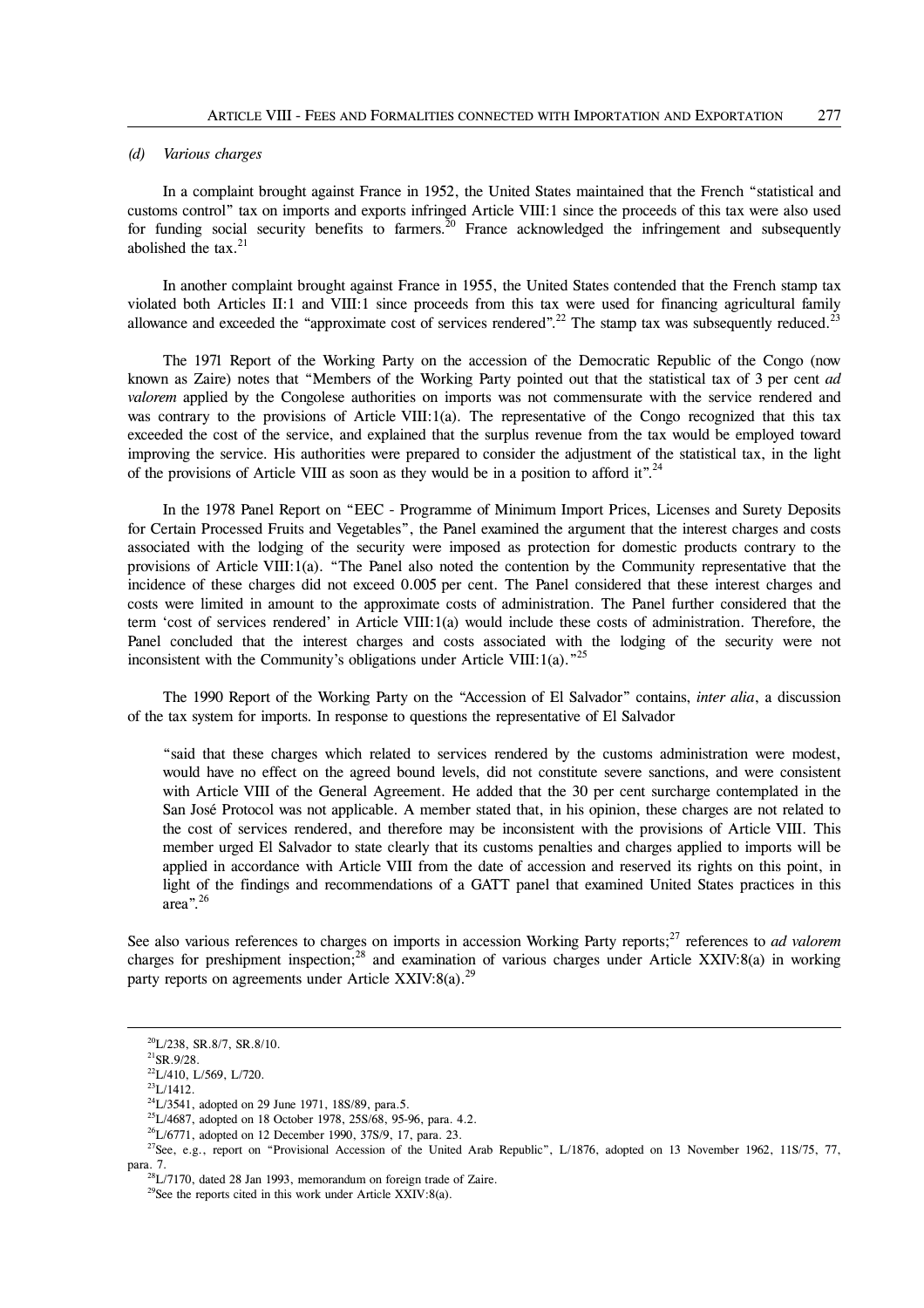### *(d) Various charges*

 In a complaint brought against France in 1952, the United States maintained that the French "statistical and customs control" tax on imports and exports infringed Article VIII:1 since the proceeds of this tax were also used for funding social security benefits to farmers.<sup>20</sup> France acknowledged the infringement and subsequently abolished the tax.<sup>21</sup>

 In another complaint brought against France in 1955, the United States contended that the French stamp tax violated both Articles II:1 and VIII:1 since proceeds from this tax were used for financing agricultural family allowance and exceeded the "approximate cost of services rendered".<sup>22</sup> The stamp tax was subsequently reduced.<sup>23</sup>

 The 1971 Report of the Working Party on the accession of the Democratic Republic of the Congo (now known as Zaire) notes that "Members of the Working Party pointed out that the statistical tax of 3 per cent *ad valorem* applied by the Congolese authorities on imports was not commensurate with the service rendered and was contrary to the provisions of Article VIII:1(a). The representative of the Congo recognized that this tax exceeded the cost of the service, and explained that the surplus revenue from the tax would be employed toward improving the service. His authorities were prepared to consider the adjustment of the statistical tax, in the light of the provisions of Article VIII as soon as they would be in a position to afford it".<sup>24</sup>

 In the 1978 Panel Report on "EEC - Programme of Minimum Import Prices, Licenses and Surety Deposits for Certain Processed Fruits and Vegetables", the Panel examined the argument that the interest charges and costs associated with the lodging of the security were imposed as protection for domestic products contrary to the provisions of Article VIII:1(a). "The Panel also noted the contention by the Community representative that the incidence of these charges did not exceed 0.005 per cent. The Panel considered that these interest charges and costs were limited in amount to the approximate costs of administration. The Panel further considered that the term 'cost of services rendered' in Article VIII:1(a) would include these costs of administration. Therefore, the Panel concluded that the interest charges and costs associated with the lodging of the security were not inconsistent with the Community's obligations under Article VIII:1(a).<sup> $35$ </sup>

 The 1990 Report of the Working Party on the "Accession of El Salvador" contains, *inter alia*, a discussion of the tax system for imports. In response to questions the representative of El Salvador

 "said that these charges which related to services rendered by the customs administration were modest, would have no effect on the agreed bound levels, did not constitute severe sanctions, and were consistent with Article VIII of the General Agreement. He added that the 30 per cent surcharge contemplated in the San José Protocol was not applicable. A member stated that, in his opinion, these charges are not related to the cost of services rendered, and therefore may be inconsistent with the provisions of Article VIII. This member urged El Salvador to state clearly that its customs penalties and charges applied to imports will be applied in accordance with Article VIII from the date of accession and reserved its rights on this point, in light of the findings and recommendations of a GATT panel that examined United States practices in this area".26

See also various references to charges on imports in accession Working Party reports;<sup>27</sup> references to *ad valorem* charges for preshipment inspection;<sup>28</sup> and examination of various charges under Article XXIV:8(a) in working party reports on agreements under Article XXIV:8(a).<sup>29</sup>

20L/238, SR.8/7, SR.8/10.

 $^{21}$ SR.9/28.

 $^{22}$ L/410, L/569, L/720.

 $^{23}L/1412.$ 

<sup>&</sup>lt;sup>24</sup>L/3541, adopted on 29 June 1971, 18S/89, para.5.

25L/4687, adopted on 18 October 1978, 25S/68, 95-96, para. 4.2.

 $2^{26}$ L/6771, adopted on 12 December 1990, 37S/9, 17, para. 23.

<sup>&</sup>lt;sup>27</sup>See, e.g., report on "Provisional Accession of the United Arab Republic", L/1876, adopted on 13 November 1962, 11S/75, 77, para. 7.

<sup>&</sup>lt;sup>28</sup>L/7170. dated 28 Jan 1993, memorandum on foreign trade of Zaire.

 $29$ See the reports cited in this work under Article XXIV:8(a).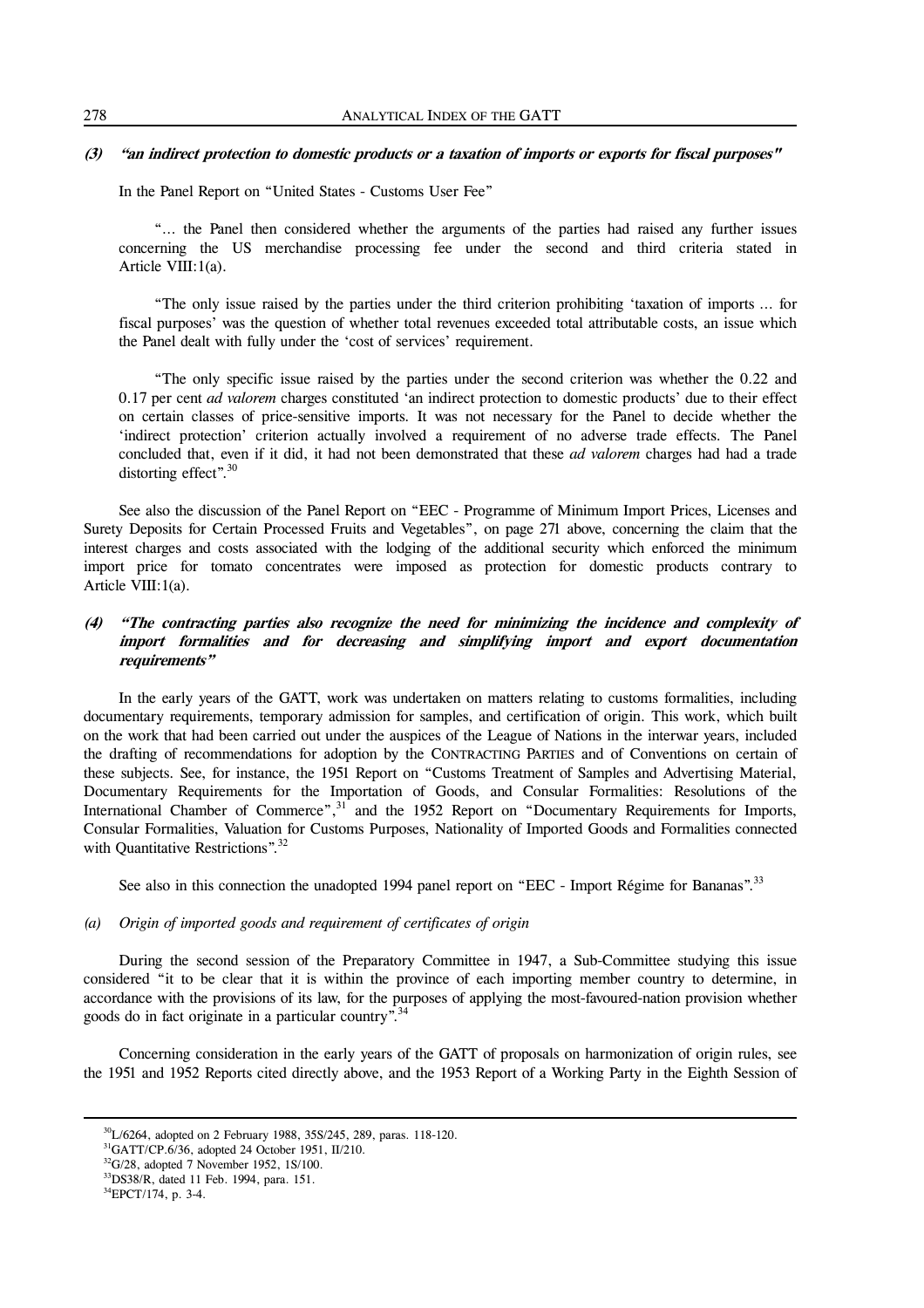## **(3) "an indirect protection to domestic products or a taxation of imports or exports for fiscal purposes"**

In the Panel Report on "United States - Customs User Fee"

 "… the Panel then considered whether the arguments of the parties had raised any further issues concerning the US merchandise processing fee under the second and third criteria stated in Article VIII:1(a).

 "The only issue raised by the parties under the third criterion prohibiting 'taxation of imports … for fiscal purposes' was the question of whether total revenues exceeded total attributable costs, an issue which the Panel dealt with fully under the 'cost of services' requirement.

 "The only specific issue raised by the parties under the second criterion was whether the 0.22 and 0.17 per cent *ad valorem* charges constituted 'an indirect protection to domestic products' due to their effect on certain classes of price-sensitive imports. It was not necessary for the Panel to decide whether the 'indirect protection' criterion actually involved a requirement of no adverse trade effects. The Panel concluded that, even if it did, it had not been demonstrated that these *ad valorem* charges had had a trade distorting effect".<sup>30</sup>

 See also the discussion of the Panel Report on "EEC - Programme of Minimum Import Prices, Licenses and Surety Deposits for Certain Processed Fruits and Vegetables", on page 271 above, concerning the claim that the interest charges and costs associated with the lodging of the additional security which enforced the minimum import price for tomato concentrates were imposed as protection for domestic products contrary to Article VIII:1(a).

## **(4) "The contracting parties also recognize the need for minimizing the incidence and complexity of import formalities and for decreasing and simplifying import and export documentation requirements"**

 In the early years of the GATT, work was undertaken on matters relating to customs formalities, including documentary requirements, temporary admission for samples, and certification of origin. This work, which built on the work that had been carried out under the auspices of the League of Nations in the interwar years, included the drafting of recommendations for adoption by the CONTRACTING PARTIES and of Conventions on certain of these subjects. See, for instance, the 1951 Report on "Customs Treatment of Samples and Advertising Material, Documentary Requirements for the Importation of Goods, and Consular Formalities: Resolutions of the International Chamber of Commerce",<sup>31</sup> and the 1952 Report on "Documentary Requirements for Imports, Consular Formalities, Valuation for Customs Purposes, Nationality of Imported Goods and Formalities connected with Quantitative Restrictions".<sup>32</sup>

See also in this connection the unadopted 1994 panel report on "EEC - Import Régime for Bananas".<sup>33</sup>

## *(a) Origin of imported goods and requirement of certificates of origin*

 During the second session of the Preparatory Committee in 1947, a Sub-Committee studying this issue considered "it to be clear that it is within the province of each importing member country to determine, in accordance with the provisions of its law, for the purposes of applying the most-favoured-nation provision whether goods do in fact originate in a particular country".<sup>34</sup>

 Concerning consideration in the early years of the GATT of proposals on harmonization of origin rules, see the 1951 and 1952 Reports cited directly above, and the 1953 Report of a Working Party in the Eighth Session of

 $30L/6264$ , adopted on 2 February 1988, 35S/245, 289, paras. 118-120.

31GATT/CP.6/36, adopted 24 October 1951, II/210.

 $32$ G/28, adopted 7 November 1952, 1S/100. 33DS38/R, dated 11 Feb. 1994, para. 151.

<sup>&</sup>lt;sup>34</sup>EPCT/174, p. 3-4.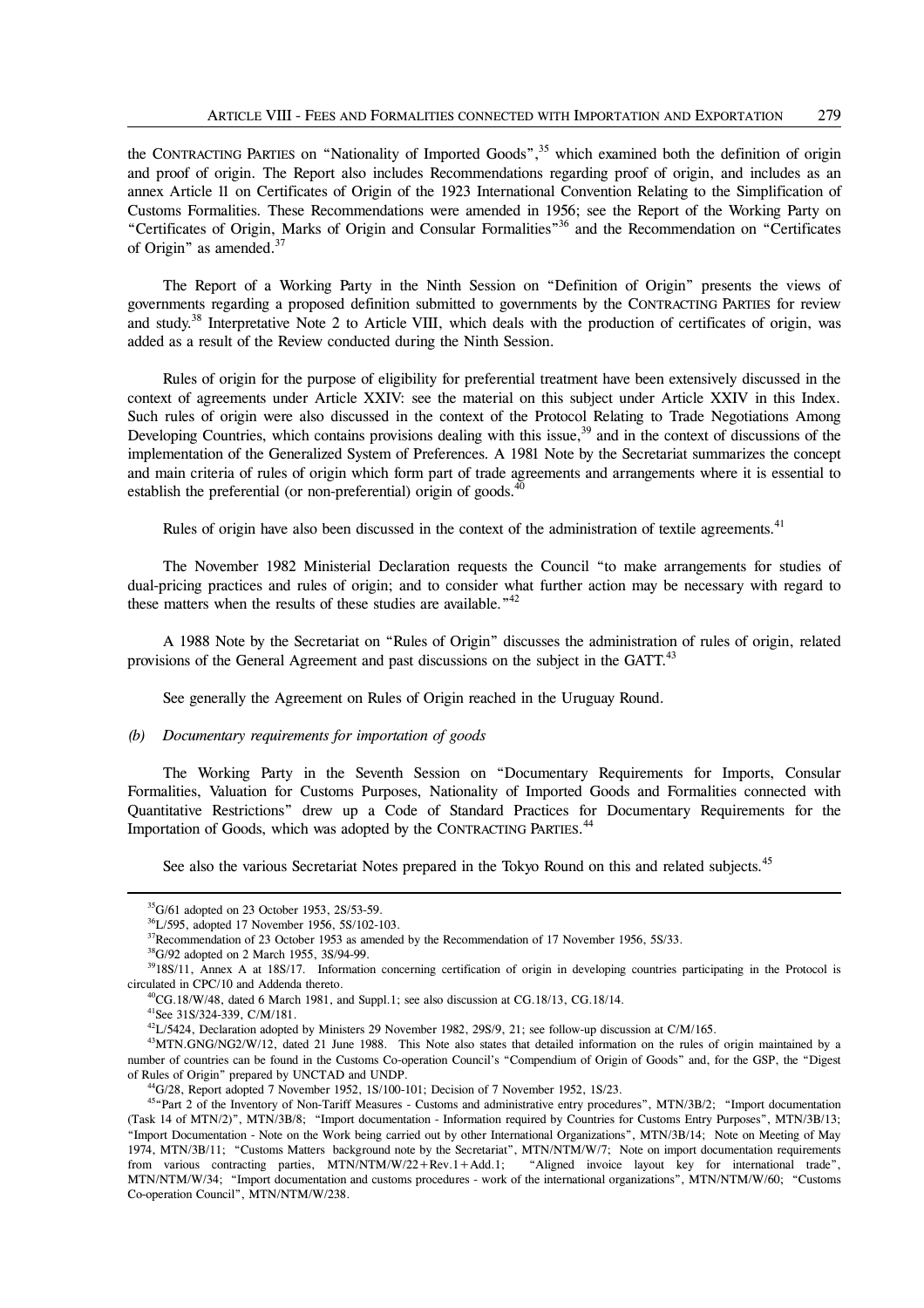the CONTRACTING PARTIES on "Nationality of Imported Goods",<sup>35</sup> which examined both the definition of origin and proof of origin. The Report also includes Recommendations regarding proof of origin, and includes as an annex Article 11 on Certificates of Origin of the 1923 International Convention Relating to the Simplification of Customs Formalities. These Recommendations were amended in 1956; see the Report of the Working Party on "Certificates of Origin, Marks of Origin and Consular Formalities"36 and the Recommendation on "Certificates of Origin" as amended.37

 The Report of a Working Party in the Ninth Session on "Definition of Origin" presents the views of governments regarding a proposed definition submitted to governments by the CONTRACTING PARTIES for review and study.<sup>38</sup> Interpretative Note 2 to Article VIII, which deals with the production of certificates of origin, was added as a result of the Review conducted during the Ninth Session.

 Rules of origin for the purpose of eligibility for preferential treatment have been extensively discussed in the context of agreements under Article XXIV: see the material on this subject under Article XXIV in this Index. Such rules of origin were also discussed in the context of the Protocol Relating to Trade Negotiations Among Developing Countries, which contains provisions dealing with this issue,<sup>39</sup> and in the context of discussions of the implementation of the Generalized System of Preferences. A 1981 Note by the Secretariat summarizes the concept and main criteria of rules of origin which form part of trade agreements and arrangements where it is essential to establish the preferential (or non-preferential) origin of goods.<sup>40</sup>

Rules of origin have also been discussed in the context of the administration of textile agreements.<sup>41</sup>

 The November 1982 Ministerial Declaration requests the Council "to make arrangements for studies of dual-pricing practices and rules of origin; and to consider what further action may be necessary with regard to these matters when the results of these studies are available."42

 A 1988 Note by the Secretariat on "Rules of Origin" discusses the administration of rules of origin, related provisions of the General Agreement and past discussions on the subject in the GATT.<sup>43</sup>

See generally the Agreement on Rules of Origin reached in the Uruguay Round.

#### *(b) Documentary requirements for importation of goods*

 The Working Party in the Seventh Session on "Documentary Requirements for Imports, Consular Formalities, Valuation for Customs Purposes, Nationality of Imported Goods and Formalities connected with Quantitative Restrictions" drew up a Code of Standard Practices for Documentary Requirements for the Importation of Goods, which was adopted by the CONTRACTING PARTIES.<sup>44</sup>

See also the various Secretariat Notes prepared in the Tokyo Round on this and related subjects.<sup>45</sup>

35G/61 adopted on 23 October 1953, 2S/53-59.

36L/595, adopted 17 November 1956, 5S/102-103.

<sup>&</sup>lt;sup>37</sup>Recommendation of 23 October 1953 as amended by the Recommendation of 17 November 1956, 5S/33.

<sup>&</sup>lt;sup>38</sup>G/92 adopted on 2 March 1955, 3S/94-99.

<sup>&</sup>lt;sup>39</sup>18S/11, Annex A at 18S/17. Information concerning certification of origin in developing countries participating in the Protocol is circulated in CPC/10 and Addenda thereto.

 $^{40}$ CG.18/W/48, dated 6 March 1981, and Suppl.1; see also discussion at CG.18/13, CG.18/14.

41See 31S/324-339, C/M/181.

<sup>&</sup>lt;sup>42</sup>L/5424, Declaration adopted by Ministers 29 November 1982, 29S/9, 21; see follow-up discussion at C/M/165.

<sup>&</sup>lt;sup>43</sup>MTN.GNG/NG2/W/12, dated 21 June 1988. This Note also states that detailed information on the rules of origin maintained by a number of countries can be found in the Customs Co-operation Council's "Compendium of Origin of Goods" and, for the GSP, the "Digest of Rules of Origin" prepared by UNCTAD and UNDP.

 $^{44}G/28$ , Report adopted 7 November 1952, 1S/100-101; Decision of 7 November 1952, 1S/23.

<sup>&</sup>lt;sup>45"</sup>Part 2 of the Inventory of Non-Tariff Measures - Customs and administrative entry procedures", MTN/3B/2; "Import documentation (Task 14 of MTN/2)", MTN/3B/8; "Import documentation - Information required by Countries for Customs Entry Purposes", MTN/3B/13; "Import Documentation - Note on the Work being carried out by other International Organizations", MTN/3B/14; Note on Meeting of May 1974, MTN/3B/11; "Customs Matters background note by the Secretariat", MTN/NTM/W/7; Note on import documentation requirements from various contracting parties, MTN/NTM/W/22+Rev.1+Add.1; "Aligned invoice layout key for inte from various contracting parties,  $MTN/NTM/W/22 + Rev.1 + Add.1;$ MTN/NTM/W/34; "Import documentation and customs procedures - work of the international organizations", MTN/NTM/W/60; "Customs Co-operation Council", MTN/NTM/W/238.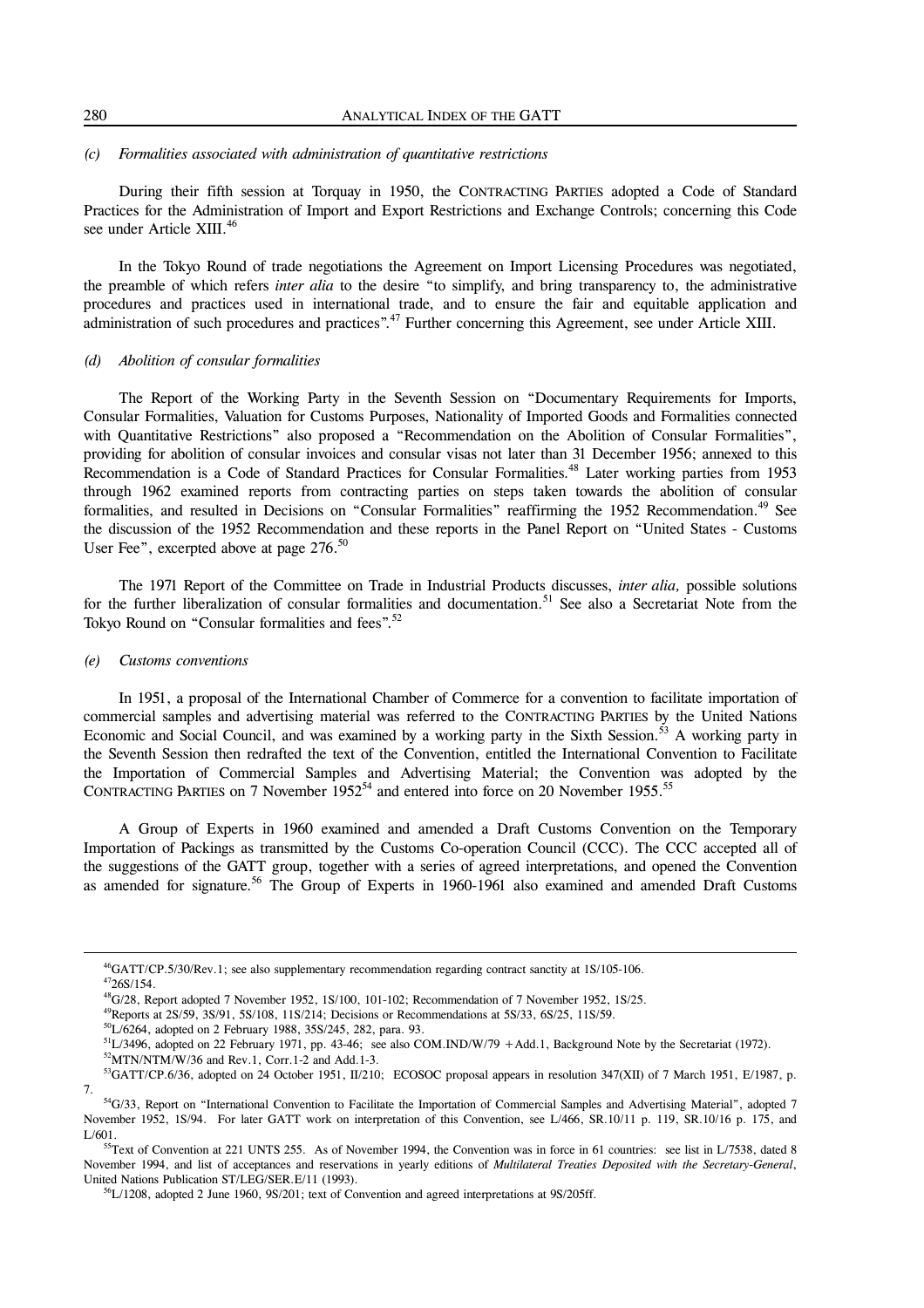## *(c) Formalities associated with administration of quantitative restrictions*

 During their fifth session at Torquay in 1950, the CONTRACTING PARTIES adopted a Code of Standard Practices for the Administration of Import and Export Restrictions and Exchange Controls; concerning this Code see under Article XIII.<sup>46</sup>

 In the Tokyo Round of trade negotiations the Agreement on Import Licensing Procedures was negotiated, the preamble of which refers *inter alia* to the desire "to simplify, and bring transparency to, the administrative procedures and practices used in international trade, and to ensure the fair and equitable application and administration of such procedures and practices".<sup>47</sup> Further concerning this Agreement, see under Article XIII.

### *(d) Abolition of consular formalities*

 The Report of the Working Party in the Seventh Session on "Documentary Requirements for Imports, Consular Formalities, Valuation for Customs Purposes, Nationality of Imported Goods and Formalities connected with Quantitative Restrictions" also proposed a "Recommendation on the Abolition of Consular Formalities", providing for abolition of consular invoices and consular visas not later than 31 December 1956; annexed to this Recommendation is a Code of Standard Practices for Consular Formalities.<sup>48</sup> Later working parties from 1953 through 1962 examined reports from contracting parties on steps taken towards the abolition of consular formalities, and resulted in Decisions on "Consular Formalities" reaffirming the 1952 Recommendation.<sup>49</sup> See the discussion of the 1952 Recommendation and these reports in the Panel Report on "United States - Customs User Fee", excerpted above at page 276.<sup>50</sup>

 The 1971 Report of the Committee on Trade in Industrial Products discusses, *inter alia,* possible solutions for the further liberalization of consular formalities and documentation.<sup>51</sup> See also a Secretariat Note from the Tokyo Round on "Consular formalities and fees".<sup>52</sup>

#### *(e) Customs conventions*

 In 1951, a proposal of the International Chamber of Commerce for a convention to facilitate importation of commercial samples and advertising material was referred to the CONTRACTING PARTIES by the United Nations Economic and Social Council, and was examined by a working party in the Sixth Session.<sup>53</sup> A working party in the Seventh Session then redrafted the text of the Convention, entitled the International Convention to Facilitate the Importation of Commercial Samples and Advertising Material; the Convention was adopted by the CONTRACTING PARTIES on 7 November  $1952^{54}$  and entered into force on 20 November 1955.<sup>55</sup>

 A Group of Experts in 1960 examined and amended a Draft Customs Convention on the Temporary Importation of Packings as transmitted by the Customs Co-operation Council (CCC). The CCC accepted all of the suggestions of the GATT group, together with a series of agreed interpretations, and opened the Convention as amended for signature.<sup>56</sup> The Group of Experts in 1960-1961 also examined and amended Draft Customs

 $^{46}$ GATT/CP.5/30/Rev.1; see also supplementary recommendation regarding contract sanctity at 1S/105-106.

 $4726S/154$ .

48G/28, Report adopted 7 November 1952, 1S/100, 101-102; Recommendation of 7 November 1952, 1S/25.

49Reports at 2S/59, 3S/91, 5S/108, 11S/214; Decisions or Recommendations at 5S/33, 6S/25, 11S/59.

50L/6264, adopted on 2 February 1988, 35S/245, 282, para. 93.

 $51L/3496$ , adopted on 22 February 1971, pp. 43-46; see also COM.IND/W/79 +Add.1, Background Note by the Secretariat (1972).

 $52$ MTN/NTM/W/36 and Rev.1, Corr.1-2 and Add.1-3.

<sup>&</sup>lt;sup>53</sup>GATT/CP.6/36, adopted on 24 October 1951, II/210; ECOSOC proposal appears in resolution 347(XII) of 7 March 1951, E/1987, p. 7.

<sup>&</sup>lt;sup>54</sup>G/33, Report on "International Convention to Facilitate the Importation of Commercial Samples and Advertising Material", adopted 7 November 1952, 1S/94. For later GATT work on interpretation of this Convention, see L/466, SR.10/11 p. 119, SR.10/16 p. 175, and L/601.

<sup>&</sup>lt;sup>55</sup>Text of Convention at 221 UNTS 255. As of November 1994, the Convention was in force in 61 countries: see list in L/7538, dated 8 November 1994, and list of acceptances and reservations in yearly editions of *Multilateral Treaties Deposited with the Secretary-General*, United Nations Publication ST/LEG/SER.E/11 (1993).

<sup>&</sup>lt;sup>56</sup>L/1208, adopted 2 June 1960, 9S/201; text of Convention and agreed interpretations at 9S/205ff.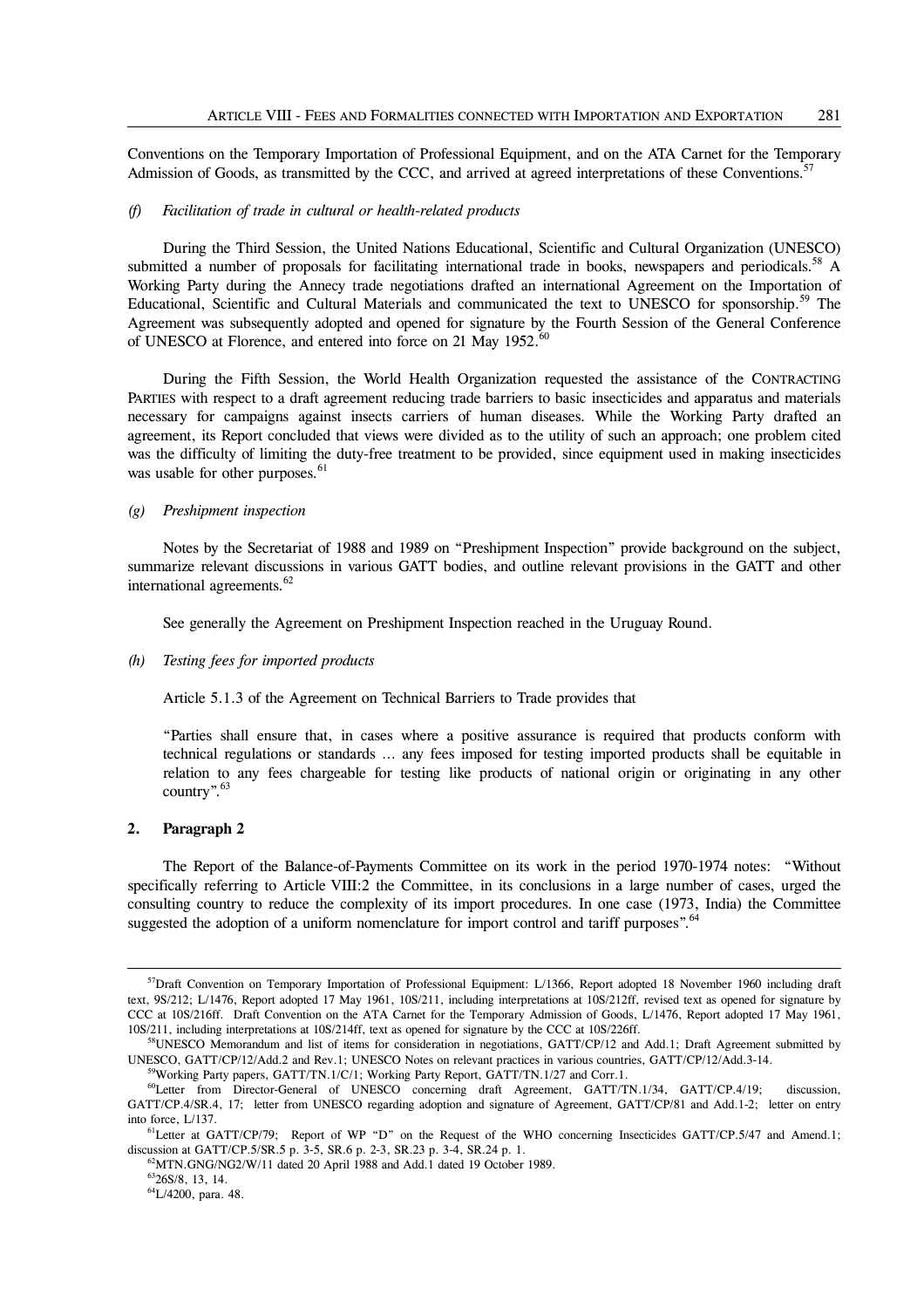Conventions on the Temporary Importation of Professional Equipment, and on the ATA Carnet for the Temporary Admission of Goods, as transmitted by the CCC, and arrived at agreed interpretations of these Conventions.<sup>5</sup>

### *(f) Facilitation of trade in cultural or health-related products*

 During the Third Session, the United Nations Educational, Scientific and Cultural Organization (UNESCO) submitted a number of proposals for facilitating international trade in books, newspapers and periodicals.<sup>58</sup> A Working Party during the Annecy trade negotiations drafted an international Agreement on the Importation of Educational, Scientific and Cultural Materials and communicated the text to UNESCO for sponsorship.59 The Agreement was subsequently adopted and opened for signature by the Fourth Session of the General Conference of UNESCO at Florence, and entered into force on 21 May 1952.<sup>60</sup>

 During the Fifth Session, the World Health Organization requested the assistance of the CONTRACTING PARTIES with respect to a draft agreement reducing trade barriers to basic insecticides and apparatus and materials necessary for campaigns against insects carriers of human diseases. While the Working Party drafted an agreement, its Report concluded that views were divided as to the utility of such an approach; one problem cited was the difficulty of limiting the duty-free treatment to be provided, since equipment used in making insecticides was usable for other purposes.<sup>61</sup>

## *(g) Preshipment inspection*

 Notes by the Secretariat of 1988 and 1989 on "Preshipment Inspection" provide background on the subject, summarize relevant discussions in various GATT bodies, and outline relevant provisions in the GATT and other international agreements.<sup>62</sup>

See generally the Agreement on Preshipment Inspection reached in the Uruguay Round.

#### *(h) Testing fees for imported products*

Article 5.1.3 of the Agreement on Technical Barriers to Trade provides that

 "Parties shall ensure that, in cases where a positive assurance is required that products conform with technical regulations or standards … any fees imposed for testing imported products shall be equitable in relation to any fees chargeable for testing like products of national origin or originating in any other country".63

## **2. Paragraph 2**

 $\overline{a}$ 

 The Report of the Balance-of-Payments Committee on its work in the period 1970-1974 notes: "Without specifically referring to Article VIII:2 the Committee, in its conclusions in a large number of cases, urged the consulting country to reduce the complexity of its import procedures. In one case (1973, India) the Committee suggested the adoption of a uniform nomenclature for import control and tariff purposes".<sup>64</sup>

57Draft Convention on Temporary Importation of Professional Equipment: L/1366, Report adopted 18 November 1960 including draft text, 9S/212; L/1476, Report adopted 17 May 1961, 10S/211, including interpretations at 10S/212ff, revised text as opened for signature by CCC at 10S/216ff. Draft Convention on the ATA Carnet for the Temporary Admission of Goods, L/1476, Report adopted 17 May 1961, 10S/211, including interpretations at 10S/214ff, text as opened for signature by the CCC at 10S/226ff.

58UNESCO Memorandum and list of items for consideration in negotiations, GATT/CP/12 and Add.1; Draft Agreement submitted by UNESCO, GATT/CP/12/Add.2 and Rev.1; UNESCO Notes on relevant practices in various countries, GATT/CP/12/Add.3-14.

59Working Party papers, GATT/TN.1/C/1; Working Party Report, GATT/TN.1/27 and Corr.1. 60Letter from Director-General of UNESCO concerning draft Agreement, GATT/TN.1/34, GATT/CP.4/19; discussion, GATT/CP.4/SR.4, 17; letter from UNESCO regarding adoption and signature of Agreement, GATT/CP/81 and Add.1-2; letter on entry into force, L/137.

 ${}^{61}$ Letter at GATT/CP/79; Report of WP "D" on the Request of the WHO concerning Insecticides GATT/CP.5/47 and Amend.1; discussion at GATT/CP.5/SR.5 p. 3-5, SR.6 p. 2-3, SR.23 p. 3-4, SR.24 p. 1.

62MTN.GNG/NG2/W/11 dated 20 April 1988 and Add.1 dated 19 October 1989.

6326S/8, 13, 14.

64L/4200, para. 48.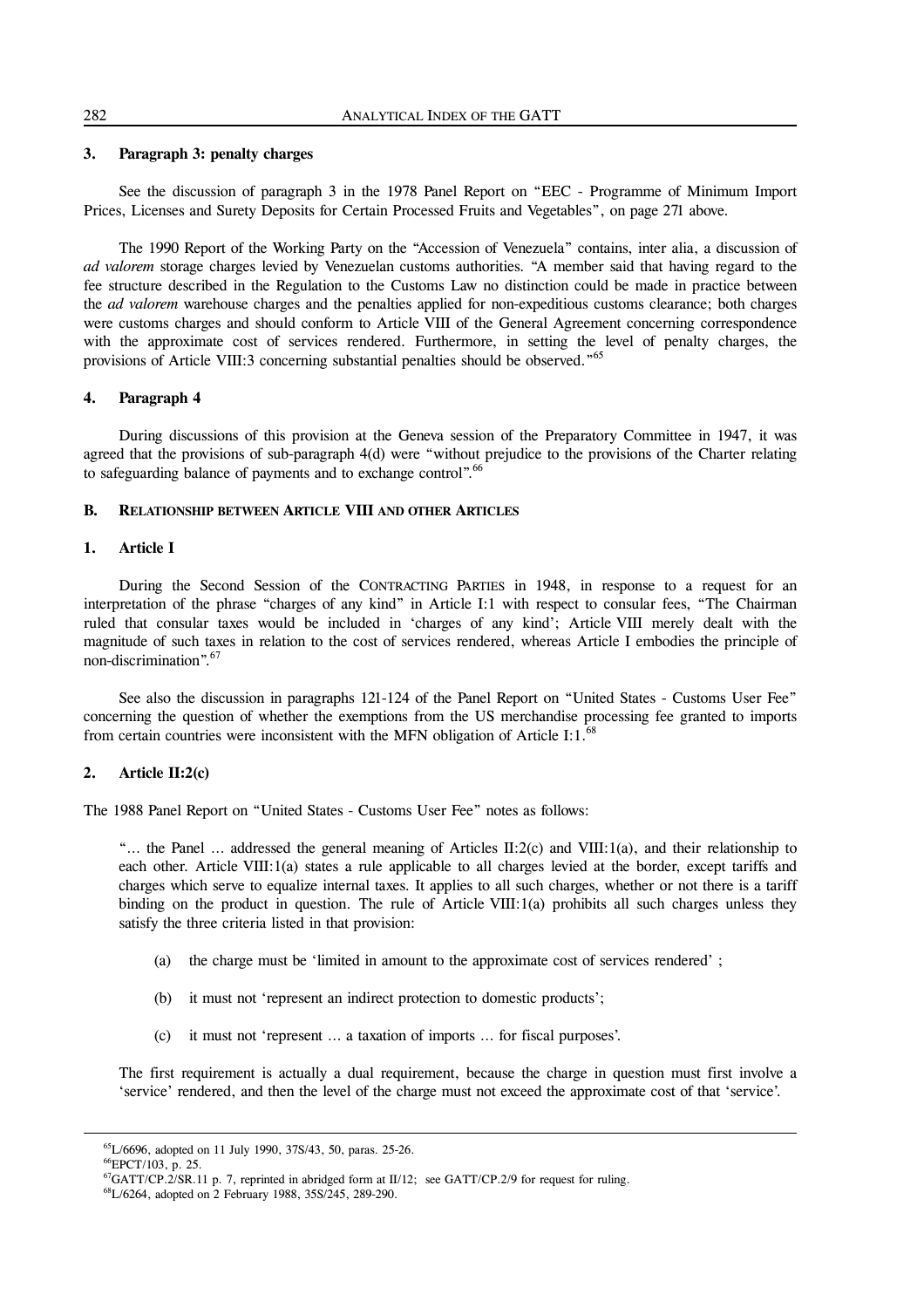## **3. Paragraph 3: penalty charges**

 See the discussion of paragraph 3 in the 1978 Panel Report on "EEC - Programme of Minimum Import Prices, Licenses and Surety Deposits for Certain Processed Fruits and Vegetables", on page 271 above.

 The 1990 Report of the Working Party on the "Accession of Venezuela" contains, inter alia, a discussion of *ad valorem* storage charges levied by Venezuelan customs authorities. "A member said that having regard to the fee structure described in the Regulation to the Customs Law no distinction could be made in practice between the *ad valorem* warehouse charges and the penalties applied for non-expeditious customs clearance; both charges were customs charges and should conform to Article VIII of the General Agreement concerning correspondence with the approximate cost of services rendered. Furthermore, in setting the level of penalty charges, the provisions of Article VIII:3 concerning substantial penalties should be observed."65

## **4. Paragraph 4**

 During discussions of this provision at the Geneva session of the Preparatory Committee in 1947, it was agreed that the provisions of sub-paragraph 4(d) were "without prejudice to the provisions of the Charter relating to safeguarding balance of payments and to exchange control".<sup>66</sup>

## **B. RELATIONSHIP BETWEEN ARTICLE VIII AND OTHER ARTICLES**

## **1. Article I**

 During the Second Session of the CONTRACTING PARTIES in 1948, in response to a request for an interpretation of the phrase "charges of any kind" in Article I:1 with respect to consular fees, "The Chairman ruled that consular taxes would be included in 'charges of any kind'; Article VIII merely dealt with the magnitude of such taxes in relation to the cost of services rendered, whereas Article I embodies the principle of non-discrimination".67

 See also the discussion in paragraphs 121-124 of the Panel Report on "United States - Customs User Fee" concerning the question of whether the exemptions from the US merchandise processing fee granted to imports from certain countries were inconsistent with the MFN obligation of Article I:1. $^{68}$ 

## **2. Article II:2(c)**

The 1988 Panel Report on "United States - Customs User Fee" notes as follows:

 "… the Panel … addressed the general meaning of Articles II:2(c) and VIII:1(a), and their relationship to each other. Article VIII:1(a) states a rule applicable to all charges levied at the border, except tariffs and charges which serve to equalize internal taxes. It applies to all such charges, whether or not there is a tariff binding on the product in question. The rule of Article VIII:1(a) prohibits all such charges unless they satisfy the three criteria listed in that provision:

- (a) the charge must be 'limited in amount to the approximate cost of services rendered' ;
- (b) it must not 'represent an indirect protection to domestic products';
- (c) it must not 'represent … a taxation of imports … for fiscal purposes'.

 The first requirement is actually a dual requirement, because the charge in question must first involve a 'service' rendered, and then the level of the charge must not exceed the approximate cost of that 'service'.

65L/6696, adopted on 11 July 1990, 37S/43, 50, paras. 25-26.

66EPCT/103, p. 25.

 ${}^{67}$ GATT/CP.2/SR.11 p. 7, reprinted in abridged form at II/12; see GATT/CP.2/9 for request for ruling.

68L/6264, adopted on 2 February 1988, 35S/245, 289-290.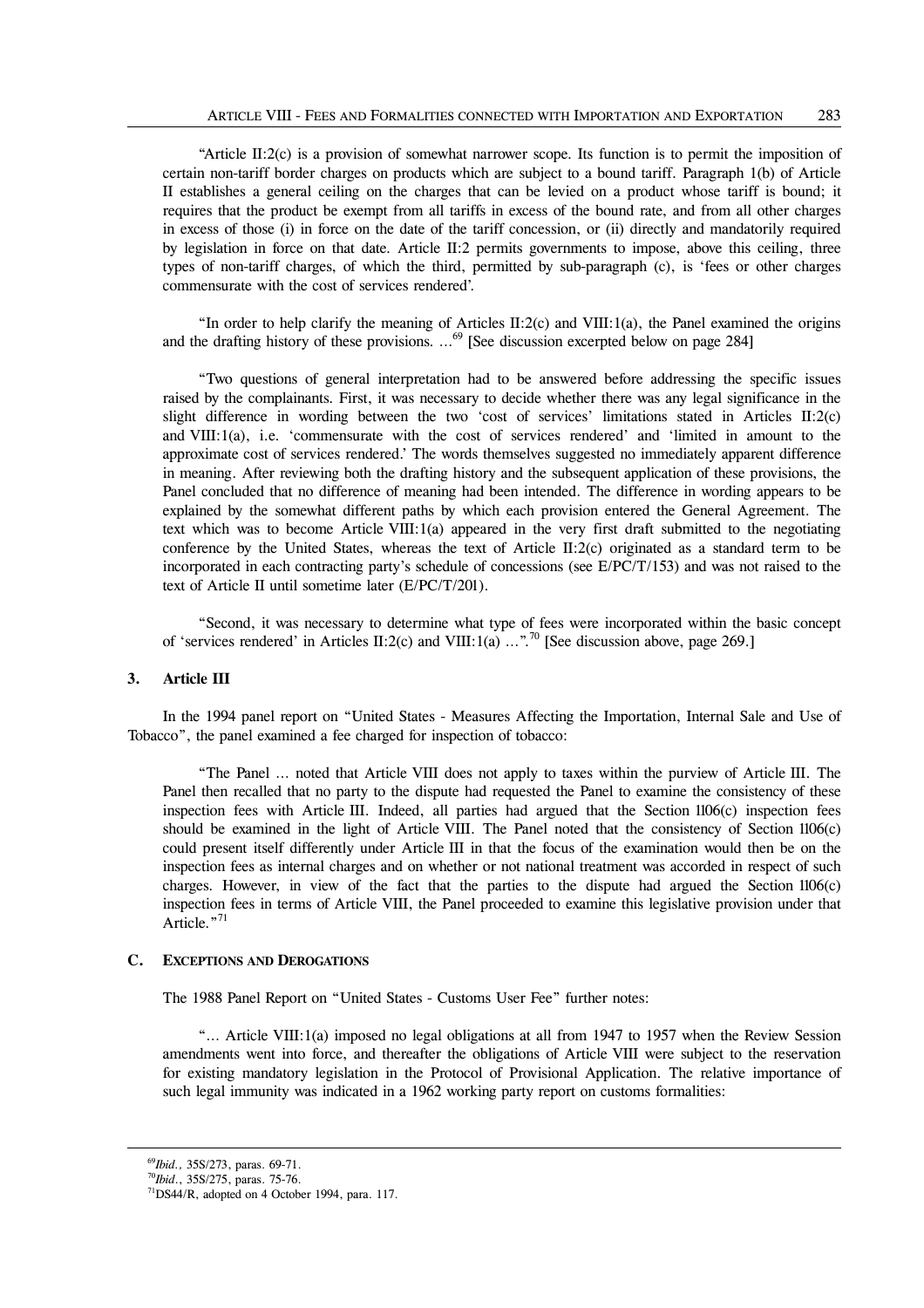"Article II:2(c) is a provision of somewhat narrower scope. Its function is to permit the imposition of certain non-tariff border charges on products which are subject to a bound tariff. Paragraph 1(b) of Article II establishes a general ceiling on the charges that can be levied on a product whose tariff is bound; it requires that the product be exempt from all tariffs in excess of the bound rate, and from all other charges in excess of those (i) in force on the date of the tariff concession, or (ii) directly and mandatorily required by legislation in force on that date. Article II:2 permits governments to impose, above this ceiling, three types of non-tariff charges, of which the third, permitted by sub-paragraph (c), is 'fees or other charges commensurate with the cost of services rendered'.

"In order to help clarify the meaning of Articles II:2(c) and VIII:1(a), the Panel examined the origins and the drafting history of these provisions.  $\ldots$ <sup>69</sup> [See discussion excerpted below on page 284]

 "Two questions of general interpretation had to be answered before addressing the specific issues raised by the complainants. First, it was necessary to decide whether there was any legal significance in the slight difference in wording between the two 'cost of services' limitations stated in Articles II:2(c) and VIII:1(a), i.e. 'commensurate with the cost of services rendered' and 'limited in amount to the approximate cost of services rendered.' The words themselves suggested no immediately apparent difference in meaning. After reviewing both the drafting history and the subsequent application of these provisions, the Panel concluded that no difference of meaning had been intended. The difference in wording appears to be explained by the somewhat different paths by which each provision entered the General Agreement. The text which was to become Article VIII:1(a) appeared in the very first draft submitted to the negotiating conference by the United States, whereas the text of Article II:2(c) originated as a standard term to be incorporated in each contracting party's schedule of concessions (see E/PC/T/153) and was not raised to the text of Article II until sometime later (E/PC/T/201).

 "Second, it was necessary to determine what type of fees were incorporated within the basic concept of 'services rendered' in Articles II:2(c) and VIII:1(a) ...".<sup>70</sup> [See discussion above, page 269.]

### **3. Article III**

 In the 1994 panel report on "United States - Measures Affecting the Importation, Internal Sale and Use of Tobacco", the panel examined a fee charged for inspection of tobacco:

 "The Panel … noted that Article VIII does not apply to taxes within the purview of Article III. The Panel then recalled that no party to the dispute had requested the Panel to examine the consistency of these inspection fees with Article III. Indeed, all parties had argued that the Section 1106(c) inspection fees should be examined in the light of Article VIII. The Panel noted that the consistency of Section 1106(c) could present itself differently under Article III in that the focus of the examination would then be on the inspection fees as internal charges and on whether or not national treatment was accorded in respect of such charges. However, in view of the fact that the parties to the dispute had argued the Section 1106(c) inspection fees in terms of Article VIII, the Panel proceeded to examine this legislative provision under that Article."<sup>71</sup>

## **C. EXCEPTIONS AND DEROGATIONS**

The 1988 Panel Report on "United States - Customs User Fee" further notes:

 "… Article VIII:1(a) imposed no legal obligations at all from 1947 to 1957 when the Review Session amendments went into force, and thereafter the obligations of Article VIII were subject to the reservation for existing mandatory legislation in the Protocol of Provisional Application. The relative importance of such legal immunity was indicated in a 1962 working party report on customs formalities:

<sup>69</sup>*Ibid.,* 35S/273, paras. 69-71.

<sup>70</sup>*Ibid*., 35S/275, paras. 75-76.

<sup>&</sup>lt;sup>71</sup>DS44/R, adopted on 4 October 1994, para. 117.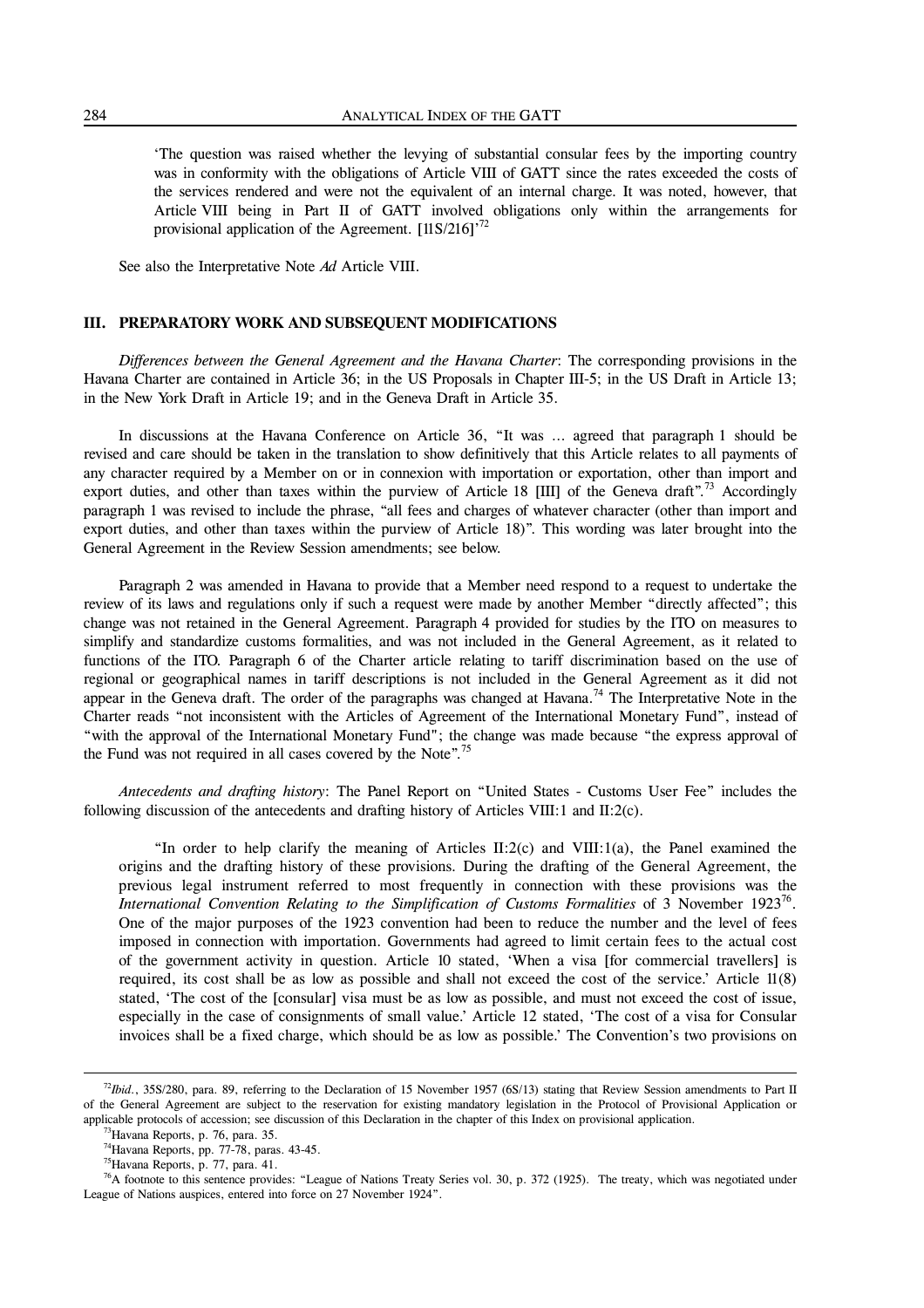'The question was raised whether the levying of substantial consular fees by the importing country was in conformity with the obligations of Article VIII of GATT since the rates exceeded the costs of the services rendered and were not the equivalent of an internal charge. It was noted, however, that Article VIII being in Part II of GATT involved obligations only within the arrangements for provisional application of the Agreement.  $[11S/216]^{32}$ 

See also the Interpretative Note *Ad* Article VIII.

## **III. PREPARATORY WORK AND SUBSEQUENT MODIFICATIONS**

 *Differences between the General Agreement and the Havana Charter*: The corresponding provisions in the Havana Charter are contained in Article 36; in the US Proposals in Chapter III-5; in the US Draft in Article 13; in the New York Draft in Article 19; and in the Geneva Draft in Article 35.

In discussions at the Havana Conference on Article 36, "It was ... agreed that paragraph 1 should be revised and care should be taken in the translation to show definitively that this Article relates to all payments of any character required by a Member on or in connexion with importation or exportation, other than import and export duties, and other than taxes within the purview of Article 18  $\text{[III]}$  of the Geneva draft".<sup>73</sup> Accordingly paragraph 1 was revised to include the phrase, "all fees and charges of whatever character (other than import and export duties, and other than taxes within the purview of Article 18)". This wording was later brought into the General Agreement in the Review Session amendments; see below.

 Paragraph 2 was amended in Havana to provide that a Member need respond to a request to undertake the review of its laws and regulations only if such a request were made by another Member "directly affected"; this change was not retained in the General Agreement. Paragraph 4 provided for studies by the ITO on measures to simplify and standardize customs formalities, and was not included in the General Agreement, as it related to functions of the ITO. Paragraph 6 of the Charter article relating to tariff discrimination based on the use of regional or geographical names in tariff descriptions is not included in the General Agreement as it did not appear in the Geneva draft. The order of the paragraphs was changed at Havana.<sup>74</sup> The Interpretative Note in the Charter reads "not inconsistent with the Articles of Agreement of the International Monetary Fund", instead of "with the approval of the International Monetary Fund"; the change was made because "the express approval of the Fund was not required in all cases covered by the Note".<sup>75</sup>

 *Antecedents and drafting history*: The Panel Report on "United States - Customs User Fee" includes the following discussion of the antecedents and drafting history of Articles VIII:1 and II:2(c).

"In order to help clarify the meaning of Articles II:2(c) and VIII:1(a), the Panel examined the origins and the drafting history of these provisions. During the drafting of the General Agreement, the previous legal instrument referred to most frequently in connection with these provisions was the International Convention Relating to the Simplification of Customs Formalities of 3 November 1923<sup>76</sup>. One of the major purposes of the 1923 convention had been to reduce the number and the level of fees imposed in connection with importation. Governments had agreed to limit certain fees to the actual cost of the government activity in question. Article 10 stated, 'When a visa [for commercial travellers] is required, its cost shall be as low as possible and shall not exceed the cost of the service.' Article 11(8) stated, 'The cost of the [consular] visa must be as low as possible, and must not exceed the cost of issue, especially in the case of consignments of small value.' Article 12 stated, 'The cost of a visa for Consular invoices shall be a fixed charge, which should be as low as possible.' The Convention's two provisions on

<sup>&</sup>lt;sup>72</sup>Ibid., 35S/280, para. 89, referring to the Declaration of 15 November 1957 (6S/13) stating that Review Session amendments to Part II of the General Agreement are subject to the reservation for existing mandatory legislation in the Protocol of Provisional Application or applicable protocols of accession; see discussion of this Declaration in the chapter of this Index on provisional application.

<sup>&</sup>lt;sup>73</sup>Havana Reports, p. 76, para. 35.

74Havana Reports, pp. 77-78, paras. 43-45.

75Havana Reports, p. 77, para. 41.

<sup>&</sup>lt;sup>76</sup>A footnote to this sentence provides: "League of Nations Treaty Series vol. 30, p. 372 (1925). The treaty, which was negotiated under League of Nations auspices, entered into force on 27 November 1924".